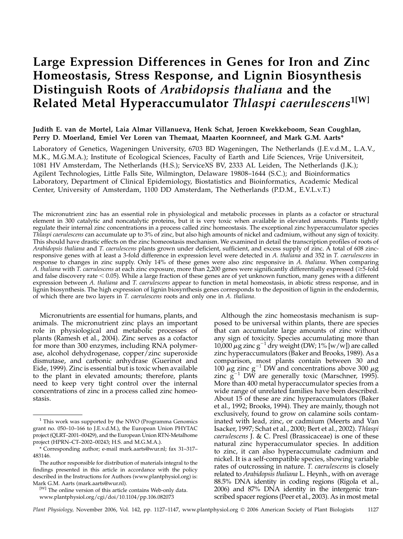# Large Expression Differences in Genes for Iron and Zinc Homeostasis, Stress Response, and Lignin Biosynthesis Distinguish Roots of Arabidopsis thaliana and the Related Metal Hyperaccumulator Thlaspi caerulescens<sup>1[W]</sup>

# Judith E. van de Mortel, Laia Almar Villanueva, Henk Schat, Jeroen Kwekkeboom, Sean Coughlan, Perry D. Moerland, Emiel Ver Loren van Themaat, Maarten Koornneef, and Mark G.M. Aarts\*

Laboratory of Genetics, Wageningen University, 6703 BD Wageningen, The Netherlands (J.E.v.d.M., L.A.V., M.K., M.G.M.A.); Institute of Ecological Sciences, Faculty of Earth and Life Sciences, Vrije Universiteit, 1081 HV Amsterdam, The Netherlands (H.S.); ServiceXS BV, 2333 AL Leiden, The Netherlands (J.K.); Agilent Technologies, Little Falls Site, Wilmington, Delaware 19808–1644 (S.C.); and Bioinformatics Laboratory, Department of Clinical Epidemiology, Biostatistics and Bioinformatics, Academic Medical Center, University of Amsterdam, 1100 DD Amsterdam, The Netherlands (P.D.M., E.V.L.v.T.)

The micronutrient zinc has an essential role in physiological and metabolic processes in plants as a cofactor or structural element in 300 catalytic and noncatalytic proteins, but it is very toxic when available in elevated amounts. Plants tightly regulate their internal zinc concentrations in a process called zinc homeostasis. The exceptional zinc hyperaccumulator species Thlaspi caerulescens can accumulate up to 3% of zinc, but also high amounts of nickel and cadmium, without any sign of toxicity. This should have drastic effects on the zinc homeostasis mechanism. We examined in detail the transcription profiles of roots of Arabidopsis thaliana and T. caerulescens plants grown under deficient, sufficient, and excess supply of zinc. A total of 608 zincresponsive genes with at least a 3-fold difference in expression level were detected in A. thaliana and 352 in T. caerulescens in response to changes in zinc supply. Only 14% of these genes were also zinc responsive in A. thaliana. When comparing A. thaliana with T. caerulescens at each zinc exposure, more than 2,200 genes were significantly differentially expressed (≥5-fold and false discovery rate  $< 0.05$ ). While a large fraction of these genes are of yet unknown function, many genes with a different expression between A. thaliana and T. caerulescens appear to function in metal homeostasis, in abiotic stress response, and in lignin biosynthesis. The high expression of lignin biosynthesis genes corresponds to the deposition of lignin in the endodermis, of which there are two layers in T. caerulescens roots and only one in A. thaliana.

Micronutrients are essential for humans, plants, and animals. The micronutrient zinc plays an important role in physiological and metabolic processes of plants (Ramesh et al., 2004). Zinc serves as a cofactor for more than 300 enzymes, including RNA polymerase, alcohol dehydrogenase, copper/zinc superoxide dismutase, and carbonic anhydrase (Guerinot and Eide, 1999). Zinc is essential but is toxic when available to the plant in elevated amounts; therefore, plants need to keep very tight control over the internal concentrations of zinc in a process called zinc homeostasis.

Although the zinc homeostasis mechanism is supposed to be universal within plants, there are species that can accumulate large amounts of zinc without any sign of toxicity. Species accumulating more than  $10,000 \mu$ g zinc g<sup>-1</sup> dry weight (DW; 1% [w/w]) are called zinc hyperaccumulators (Baker and Brooks, 1989). As a comparison, most plants contain between 30 and 100  $\mu$ g zinc g<sup>-1</sup> DW and concentrations above 300  $\mu$ g zinc  $g^{-1}$  DW are generally toxic (Marschner, 1995). More than 400 metal hyperaccumulator species from a wide range of unrelated families have been described. About 15 of these are zinc hyperaccumulators (Baker et al., 1992; Brooks, 1994). They are mainly, though not exclusively, found to grow on calamine soils contaminated with lead, zinc, or cadmium (Meerts and Van Isacker, 1997; Schat et al., 2000; Bert et al., 2002). Thlaspi caerulescens J. & C. Presl (Brassicaceae) is one of these natural zinc hyperaccumulator species. In addition to zinc, it can also hyperaccumulate cadmium and nickel. It is a self-compatible species, showing variable rates of outcrossing in nature. T. caerulescens is closely related to Arabidopsis thaliana L. Heynh., with on average 88.5% DNA identity in coding regions (Rigola et al., 2006) and 87% DNA identity in the intergenic transcribed spacer regions (Peer et al., 2003). As in most metal

Plant Physiology, November 2006, Vol. 142, pp. 1127–1147, www.plantphysiol.org © 2006 American Society of Plant Biologists 1127

 $1$  This work was supported by the NWO (Programma Genomics grant no. 050–10–166 to J.E.v.d.M.), the European Union PHYTAC project (QLRT–2001–00429), and the European Union RTN-Metalhome project (HPRN–CT–2002–00243; H.S. and M.G.M.A.).

<sup>\*</sup> Corresponding author; e-mail mark.aarts@wur.nl; fax 31–317– 483146.

The author responsible for distribution of materials integral to the findings presented in this article in accordance with the policy described in the Instructions for Authors (www.plantphysiol.org) is: Mark G.M. Aarts (mark.aarts@wur.nl).

<sup>[</sup>W] The online version of this article contains Web-only data. www.plantphysiol.org/cgi/doi/10.1104/pp.106.082073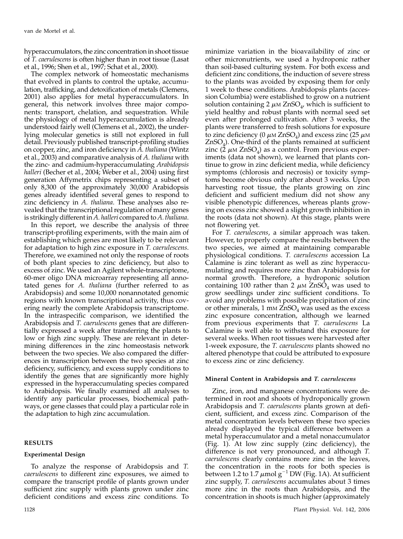hyperaccumulators, the zinc concentration in shoot tissue of T. caerulescens is often higher than in root tissue (Lasat et al., 1996; Shen et al., 1997; Schat et al., 2000).

The complex network of homeostatic mechanisms that evolved in plants to control the uptake, accumulation, trafficking, and detoxification of metals (Clemens, 2001) also applies for metal hyperaccumulators. In general, this network involves three major components: transport, chelation, and sequestration. While the physiology of metal hyperaccumulation is already understood fairly well (Clemens et al., 2002), the underlying molecular genetics is still not explored in full detail. Previously published transcript-profiling studies on copper, zinc, and iron deficiency in A. thaliana (Wintz et al., 2003) and comparative analysis of A. thaliana with the zinc- and cadmium-hyperaccumulating Arabidopsis halleri (Becher et al., 2004; Weber et al., 2004) using first generation Affymetrix chips representing a subset of only 8,300 of the approximately 30,000 Arabidopsis genes already identified several genes to respond to zinc deficiency in A. thaliana. These analyses also revealed that the transcriptional regulation of many genes is strikingly different in A. halleri compared to A. thaliana.

In this report, we describe the analysis of three transcript-profiling experiments, with the main aim of establishing which genes are most likely to be relevant for adaptation to high zinc exposure in T. caerulescens. Therefore, we examined not only the response of roots of both plant species to zinc deficiency, but also to excess of zinc. We used an Agilent whole-transcriptome, 60-mer oligo DNA microarray representing all annotated genes for A. thaliana (further referred to as Arabidopsis) and some 10,000 nonannotated genomic regions with known transcriptional activity, thus covering nearly the complete Arabidopsis transcriptome. In the intraspecific comparison, we identified the Arabidopsis and T. *caerulescens* genes that are differentially expressed a week after transferring the plants to low or high zinc supply. These are relevant in determining differences in the zinc homeostasis network between the two species. We also compared the differences in transcription between the two species at zinc deficiency, sufficiency, and excess supply conditions to identify the genes that are significantly more highly expressed in the hyperaccumulating species compared to Arabidopsis. We finally examined all analyses to identify any particular processes, biochemical pathways, or gene classes that could play a particular role in the adaptation to high zinc accumulation.

# RESULTS

# Experimental Design

To analyze the response of Arabidopsis and T. caerulescens to different zinc exposures, we aimed to compare the transcript profile of plants grown under sufficient zinc supply with plants grown under zinc deficient conditions and excess zinc conditions. To

minimize variation in the bioavailability of zinc or other micronutrients, we used a hydroponic rather than soil-based culturing system. For both excess and deficient zinc conditions, the induction of severe stress to the plants was avoided by exposing them for only 1 week to these conditions. Arabidopsis plants (accession Columbia) were established to grow on a nutrient solution containing 2  $\mu$ M ZnSO<sub>4</sub>, which is sufficient to yield healthy and robust plants with normal seed set even after prolonged cultivation. After 3 weeks, the plants were transferred to fresh solutions for exposure to zinc deficiency (0  $\mu$ m ZnSO<sub>4</sub>) and excess zinc (25  $\mu$ m  $ZnSO<sub>4</sub>$ ). One-third of the plants remained at sufficient zinc (2  $\mu$ M ZnSO<sub>4</sub>) as a control. From previous experiments (data not shown), we learned that plants continue to grow in zinc deficient media, while deficiency symptoms (chlorosis and necrosis) or toxicity symptoms become obvious only after about 3 weeks. Upon harvesting root tissue, the plants growing on zinc deficient and sufficient medium did not show any visible phenotypic differences, whereas plants growing on excess zinc showed a slight growth inhibition in the roots (data not shown). At this stage, plants were not flowering yet.

For T. caerulescens, a similar approach was taken. However, to properly compare the results between the two species, we aimed at maintaining comparable physiological conditions. T. caerulescens accession La Calamine is zinc tolerant as well as zinc hyperaccumulating and requires more zinc than Arabidopsis for normal growth. Therefore, a hydroponic solution containing 100 rather than 2  $\mu$ M ZnSO<sub>4</sub> was used to grow seedlings under zinc sufficient conditions. To avoid any problems with possible precipitation of zinc or other minerals, 1 mm  $ZnSO<sub>4</sub>$  was used as the excess zinc exposure concentration, although we learned from previous experiments that T. caerulescens La Calamine is well able to withstand this exposure for several weeks. When root tissues were harvested after 1-week exposure, the T. caerulescens plants showed no altered phenotype that could be attributed to exposure to excess zinc or zinc deficiency.

# Mineral Content in Arabidopsis and T. caerulescens

Zinc, iron, and manganese concentrations were determined in root and shoots of hydroponically grown Arabidopsis and T. caerulescens plants grown at deficient, sufficient, and excess zinc. Comparison of the metal concentration levels between these two species already displayed the typical difference between a metal hyperaccumulator and a metal nonaccumulator (Fig. 1). At low zinc supply (zinc deficiency), the difference is not very pronounced, and although T. caerulescens clearly contains more zinc in the leaves, the concentration in the roots for both species is between 1.2 to 1.7  $\mu$ mol g<sup>-1</sup> DW (Fig. 1A). At sufficient zinc supply, T. caerulescens accumulates about 3 times more zinc in the roots than Arabidopsis, and the concentration in shoots is much higher (approximately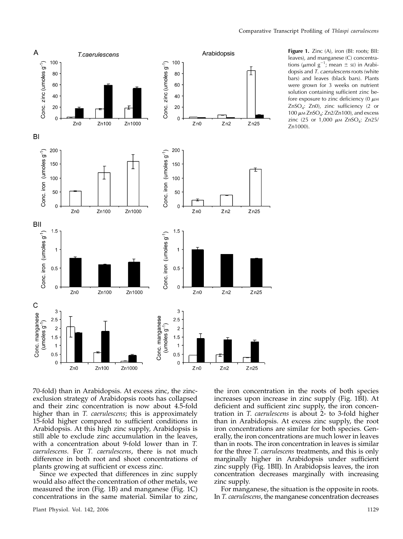

Figure 1. Zinc (A), iron (BI: roots; BII: leaves), and manganese (C) concentrations ( $\mu$ mol g<sup>-1</sup>; mean  $\pm$  s $\varepsilon$ ) in Arabidopsis and T. caerulescens roots (white bars) and leaves (black bars). Plants were grown for 3 weeks on nutrient solution containing sufficient zinc before exposure to zinc deficiency (0  $\mu$ MM ZnSO4: Zn0), zinc sufficiency (2 or 100  $\mu$ M ZnSO<sub>4</sub>: Zn2/Zn100), and excess zinc (25 or 1,000  $\mu$ M ZnSO<sub>4</sub>: Zn25/ Zn1000).

70-fold) than in Arabidopsis. At excess zinc, the zincexclusion strategy of Arabidopsis roots has collapsed and their zinc concentration is now about 4.5-fold higher than in T. caerulescens; this is approximately 15-fold higher compared to sufficient conditions in Arabidopsis. At this high zinc supply, Arabidopsis is still able to exclude zinc accumulation in the leaves, with a concentration about 9-fold lower than in T. caerulescens. For T. caerulescens, there is not much difference in both root and shoot concentrations of plants growing at sufficient or excess zinc.

Since we expected that differences in zinc supply would also affect the concentration of other metals, we measured the iron (Fig. 1B) and manganese (Fig. 1C) concentrations in the same material. Similar to zinc,

the iron concentration in the roots of both species increases upon increase in zinc supply (Fig. 1BI). At deficient and sufficient zinc supply, the iron concentration in T. caerulescens is about 2- to 3-fold higher than in Arabidopsis. At excess zinc supply, the root iron concentrations are similar for both species. Generally, the iron concentrations are much lower in leaves than in roots. The iron concentration in leaves is similar for the three T. caerulescens treatments, and this is only marginally higher in Arabidopsis under sufficient zinc supply (Fig. 1BII). In Arabidopsis leaves, the iron concentration decreases marginally with increasing zinc supply.

For manganese, the situation is the opposite in roots. In T. caerulescens, the manganese concentration decreases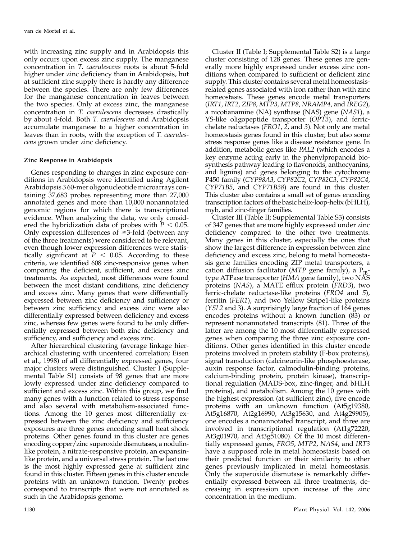with increasing zinc supply and in Arabidopsis this only occurs upon excess zinc supply. The manganese concentration in T. caerulescens roots is about 5-fold higher under zinc deficiency than in Arabidopsis, but at sufficient zinc supply there is hardly any difference between the species. There are only few differences for the manganese concentration in leaves between the two species. Only at excess zinc, the manganese concentration in T. caerulescens decreases drastically by about 4-fold. Both T. caerulescens and Arabidopsis accumulate manganese to a higher concentration in leaves than in roots, with the exception of T. caerulescens grown under zinc deficiency.

# Zinc Response in Arabidopsis

Genes responding to changes in zinc exposure conditions in Arabidopsis were identified using Agilent Arabidopsis 3 60-mer oligonucleotide microarrays containing 37,683 probes representing more than 27,000 annotated genes and more than 10,000 nonannotated genomic regions for which there is transcriptional evidence. When analyzing the data, we only considered the hybridization data of probes with  $P < 0.05$ . Only expression differences of  $\geq$ 3-fold (between any of the three treatments) were considered to be relevant, even though lower expression differences were statistically significant at  $\tilde{P}$  < 0.05. According to these criteria, we identified 608 zinc-responsive genes when comparing the deficient, sufficient, and excess zinc treatments. As expected, most differences were found between the most distant conditions, zinc deficiency and excess zinc. Many genes that were differentially expressed between zinc deficiency and sufficiency or between zinc sufficiency and excess zinc were also differentially expressed between deficiency and excess zinc, whereas few genes were found to be only differentially expressed between both zinc deficiency and sufficiency, and sufficiency and excess zinc.

After hierarchical clustering (average linkage hierarchical clustering with uncentered correlation; Eisen et al., 1998) of all differentially expressed genes, four major clusters were distinguished. Cluster I (Supplemental Table S1) consists of 98 genes that are more lowly expressed under zinc deficiency compared to sufficient and excess zinc. Within this group, we find many genes with a function related to stress response and also several with metabolism-associated functions. Among the 10 genes most differentially expressed between the zinc deficiency and sufficiency exposures are three genes encoding small heat shock proteins. Other genes found in this cluster are genes encoding copper/zinc superoxide dismutases, a nodulinlike protein, a nitrate-responsive protein, an expansinlike protein, and a universal stress protein. The last one is the most highly expressed gene at sufficient zinc found in this cluster. Fifteen genes in this cluster encode proteins with an unknown function. Twenty probes correspond to transcripts that were not annotated as such in the Arabidopsis genome.

Cluster II (Table I; Supplemental Table S2) is a large cluster consisting of 128 genes. These genes are generally more highly expressed under excess zinc conditions when compared to sufficient or deficient zinc supply. This cluster contains several metal homeostasisrelated genes associated with iron rather than with zinc homeostasis. These genes encode metal transporters (IRT1, IRT2, ZIP8, MTP3, MTP8, NRAMP4, and IREG2), a nicotianamine (NA) synthase (NAS) gene (NAS1), a YS-like oligopeptide transporter (OPT3), and ferricchelate reductases (FRO1, 2, and 3). Not only are metal homeostasis genes found in this cluster, but also some stress response genes like a disease resistance gene. In addition, metabolic genes like PAL2 (which encodes a key enzyme acting early in the phenylpropanoid biosynthesis pathway leading to flavonoids, anthocyanins, and lignins) and genes belonging to the cytochrome P450 family (CYP98A3, CYP82C2, CYP82C3, CYP82C4, CYP71B5, and CYP71B38) are found in this cluster. This cluster also contains a small set of genes encoding transcription factors of the basic helix-loop-helix (bHLH), myb, and zinc-finger families.

Cluster III (Table II; Supplemental Table S3) consists of 347 genes that are more highly expressed under zinc deficiency compared to the other two treatments. Many genes in this cluster, especially the ones that show the largest difference in expression between zinc deficiency and excess zinc, belong to metal homeostasis gene families encoding ZIP metal transporters, a cation diffusion facilitator (MTP gene family), a  $P_{\text{IB}}$ type ATPase transporter (HMA gene family), two NAS proteins (NAS), a MATE efflux protein (FRD3), two ferric-chelate reductase-like proteins (FRO4 and 5), ferritin (FER1), and two Yellow Stripe1-like proteins (YSL2 and 3). A surprisingly large fraction of 164 genes encodes proteins without a known function (83) or represent nonannotated transcripts (81). Three of the latter are among the 10 most differentially expressed genes when comparing the three zinc exposure conditions. Other genes identified in this cluster encode proteins involved in protein stability (F-box proteins), signal transduction (calcineurin-like phosphoesterase, auxin response factor, calmodulin-binding proteins, calcium-binding protein, protein kinase), transcriptional regulation (MADS-box, zinc-finger, and bHLH proteins), and metabolism. Among the 10 genes with the highest expression (at sufficient zinc), five encode proteins with an unknown function (At5g19380, At5g16870, At2g16990, At3g15630, and At4g29905), one encodes a nonannotated transcript, and three are involved in transcriptional regulation (At1g72220, At3g01970, and At3g51080). Of the 10 most differentially expressed genes, FRO5, MTP2, NAS4, and IRT3 have a supposed role in metal homeostasis based on their predicted function or their similarity to other genes previously implicated in metal homeostasis. Only the superoxide dismutase is remarkably differentially expressed between all three treatments, decreasing in expression upon increase of the zinc concentration in the medium.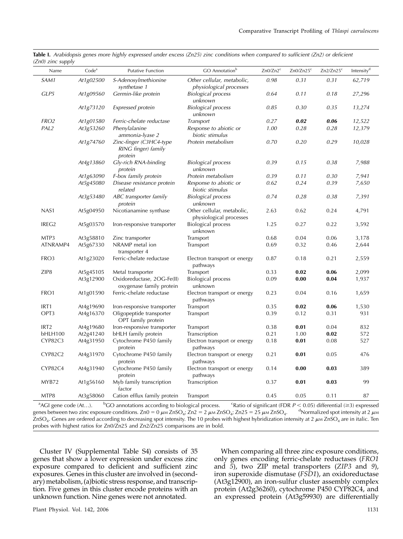| Name             | Code <sup>a</sup> | <b>Putative Function</b>                                  | GO Annotation <sup>b</sup>                            | Zn0/Zn2 <sup>c</sup> | Zn0/Zn25 <sup>c</sup> | Zn2/Zn25 <sup>c</sup> | Intensity <sup>d</sup> |
|------------------|-------------------|-----------------------------------------------------------|-------------------------------------------------------|----------------------|-----------------------|-----------------------|------------------------|
| SAM1             | At1g02500         | S-Adenosylmethionine<br>synthetase 1                      | Other cellular, metabolic,<br>physiological processes | 0.98                 | 0.31                  | 0.31                  | 62,719                 |
| GLP5             | At1g09560         | Germin-like protein                                       | Biological process<br>unknown                         | 0.64                 | 0.11                  | 0.18                  | 27,296                 |
|                  | At1g73120         | Expressed protein                                         | Biological process<br>unknown                         | 0.85                 | 0.30                  | 0.35                  | 13,274                 |
| FRO <sub>2</sub> | At1g01580         | Ferric-chelate reductase                                  | Transport                                             | 0.27                 | 0.02                  | 0.06                  | 12,522                 |
| PAL2             | At3g53260         | Phenylalanine<br>ammonia-lyase 2                          | Response to abiotic or<br>biotic stimulus             | 1.00                 | 0.28                  | 0.28                  | 12,379                 |
|                  | At1g74760         | Zinc-finger (C3HC4-type<br>RING finger) family<br>protein | Protein metabolism                                    | 0.70                 | 0.20                  | 0.29                  | 10,028                 |
|                  | At4g13860         | Gly-rich RNA-binding<br>protein                           | Biological process<br>unknown                         | 0.39                 | 0.15                  | 0.38                  | 7,988                  |
|                  | At1g63090         | F-box family protein                                      | Protein metabolism                                    | 0.39                 | 0.11                  | 0.30                  | 7,941                  |
|                  | At5g45080         | Disease resistance protein<br>related                     | Response to abiotic or<br>biotic stimulus             | 0.62                 | 0.24                  | 0.39                  | 7,650                  |
|                  | At3g53480         | ABC transporter family<br>protein                         | Biological process<br>unknown                         | 0.74                 | 0.28                  | 0.38                  | 7,391                  |
| NAS1             | At5g04950         | Nicotianamine synthase                                    | Other cellular, metabolic,<br>physiological processes | 2.63                 | 0.62                  | 0.24                  | 4,791                  |
| IREG2            | At5g03570         | Iron-responsive transporter                               | <b>Biological process</b><br>unknown                  | 1.25                 | 0.27                  | 0.22                  | 3,592                  |
| MTP3             | At3g58810         | Zinc transporter                                          | Transport                                             | 0.68                 | 0.04                  | 0.06                  | 3,178                  |
| ATNRAMP4         | At5g67330         | NRAMP metal ion<br>transporter 4                          | Transport                                             | 0.69                 | 0.32                  | 0.46                  | 2,644                  |
| FRO <sub>3</sub> | At1g23020         | Ferric-chelate reductase                                  | Electron transport or energy<br>pathways              | 0.87                 | 0.18                  | 0.21                  | 2,559                  |
| ZIP8             | At5g45105         | Metal transporter                                         | Transport                                             | 0.33                 | 0.02                  | 0.06                  | 2,099                  |
|                  | At3g12900         | Oxidoreductase, 2OG-Fe(II)<br>oxygenase family protein    | <b>Biological process</b><br>unknown                  | 0.09                 | 0.00                  | 0.04                  | 1,937                  |
| FRO <sub>1</sub> | At1g01590         | Ferric-chelate reductase                                  | Electron transport or energy<br>pathways              | 0.23                 | 0.04                  | 0.16                  | 1,659                  |
| IRT1             | At4g19690         | Iron-responsive transporter                               | Transport                                             | 0.35                 | 0.02                  | 0.06                  | 1,530                  |
| OPT3             | At4g16370         | Oligopeptide transporter<br>OPT family protein            | Transport                                             | 0.39                 | 0.12                  | 0.31                  | 931                    |
| IRT <sub>2</sub> | At4g19680         | Iron-responsive transporter                               | Transport                                             | 0.38                 | 0.01                  | 0.04                  | 832                    |
| bHLH100          | At2g41240         | bHLH family protein                                       | Transcription                                         | 0.21                 | 1.00                  | 0.02                  | 572                    |
| CYP82C3          | At4g31950         | Cytochrome P450 family<br>protein                         | Electron transport or energy<br>pathways              | 0.18                 | 0.01                  | 0.08                  | 527                    |
| CYP82C2          | At4g31970         | Cytochrome P450 family<br>protein                         | Electron transport or energy<br>pathways              | 0.21                 | 0.01                  | 0.05                  | 476                    |
| CYP82C4          | At4g31940         | Cytochrome P450 family<br>protein                         | Electron transport or energy<br>pathways              | 0.14                 | 0.00                  | 0.03                  | 389                    |
| MYB72            | At1g56160         | Myb family transcription<br>factor                        | Transcription                                         | 0.37                 | 0.01                  | 0.03                  | 99                     |
| MTP8             | At3g58060         | Cation efflux family protein                              | Transport                                             | 0.45                 | 0.05                  | 0.11                  | 87                     |

Table I. Arabidopsis genes more highly expressed under excess (Zn25) zinc conditions when compared to sufficient (Zn2) or deficient  $(7n)$  zinc supply

<sup>a</sup>AGI gene code (At...). b  ${}^{\text{b}}$ GO annotations according to biological process. <sup>c</sup>Ratio of significant (FDR  $P < 0.05$ ) differential ( $\geq$ 3) expressed genes between two zinc exposure conditions.  $Zn0 = 0 \mu\text{m ZnSO}_4$ ;  $Zn2 = 2 \mu\text{m ZnSO}_4$ ; Zn25 =  $25 \mu\text{m ZnSO}_4$ . <sup>d</sup>Normalized spot intensity at 2  $\mu$ M  $\text{ZnSO}_4$ . Genes are ordered according to decreasing spot intensity. The 10 probes with highest hybridization intensity at 2  $\mu$ M ZnSO<sub>4</sub> are in italic. Ten probes with highest ratios for Zn0/Zn25 and Zn2/Zn25 comparisons are in bold.

Cluster IV (Supplemental Table S4) consists of 35 genes that show a lower expression under excess zinc exposure compared to deficient and sufficient zinc exposures. Genes in this cluster are involved in (secondary) metabolism, (a)biotic stress response, and transcription. Five genes in this cluster encode proteins with an unknown function. Nine genes were not annotated.

When comparing all three zinc exposure conditions, only genes encoding ferric-chelate reductases (FRO1 and  $\bar{5}$ ), two ZIP metal transporters (ZIP3 and 9), iron superoxide dismutase (FSD1), an oxidoreductase (At3g12900), an iron-sulfur cluster assembly complex protein (At2g36260), cytochrome P450 CYP82C4, and an expressed protein (At3g59930) are differentially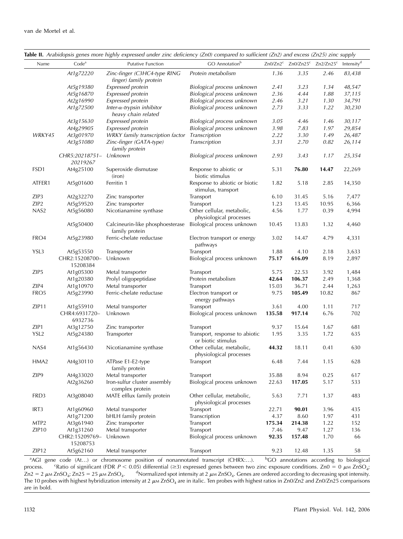| Name             | Code <sup>a</sup>          | <b>Putative Function</b>                                  | GO Annotation <sup>b</sup>                            |        | $Zn0/Zn2c$ $Zn0/Zn25c$ $Zn2/Zn25c$ |       | Intensity <sup>d</sup> |
|------------------|----------------------------|-----------------------------------------------------------|-------------------------------------------------------|--------|------------------------------------|-------|------------------------|
|                  | At1g72220                  | Zinc-finger (C3HC4-type RING<br>finger) family protein    | Protein metabolism                                    | 1.36   | 3.35                               | 2.46  | 83,438                 |
|                  | At5g19380                  | Expressed protein                                         | Biological process unknown                            | 2.41   | 3.23                               | 1.34  | 48,547                 |
|                  | At5g16870                  | Expressed protein                                         | Biological process unknown                            | 2.36   | 4.44                               | 1.88  | 37,115                 |
|                  | At2g16990                  | Expressed protein                                         | Biological process unknown                            | 2.46   | 3.21                               | 1.30  | 34,791                 |
|                  | At1g72500                  | Inter- $\alpha$ -trypsin inhibitor<br>heavy chain related | Biological process unknown                            | 2.73   | 3.33                               | 1.22  | 30,230                 |
|                  | At3g15630                  | Expressed protein                                         | Biological process unknown                            | 3.05   | 4.46                               | 1.46  | 30,117                 |
|                  | At4g29905                  | Expressed protein                                         | Biological process unknown                            | 3.98   | 7.83                               | 1.97  | 29,854                 |
| WRKY45           | At3g01970                  | WRKY family transcription factor                          | Transcription                                         | 2.22   | 3.30                               | 1.49  | 26,487                 |
|                  | At3g51080                  | Zinc-finger (GATA-type)<br>family protein                 | Transcription                                         | 3.31   | 2.70                               | 0.82  | 26,114                 |
|                  | CHR5:20218751-<br>20219267 | Unknown                                                   | Biological process unknown                            | 2.93   | 3.43                               | 1.17  | 25,354                 |
| FSD1             | At4g25100                  | Superoxide dismutase<br>(iron)                            | Response to abiotic or<br>biotic stimulus             | 5.31   | 76.80                              | 14.47 | 22,269                 |
| ATFER1           | At5g01600                  | Ferritin 1                                                | Response to abiotic or biotic<br>stimulus, transport  | 1.82   | 5.18                               | 2.85  | 14,350                 |
| ZIP3             | At2g32270                  | Zinc transporter                                          | Transport                                             | 6.10   | 31.45                              | 5.16  | 7,477                  |
| ZIP <sub>2</sub> | At5g59520                  | Zinc transporter                                          | Transport                                             | 1.23   | 13.45                              | 10.95 | 6,366                  |
| NAS <sub>2</sub> | At5g56080                  | Nicotianamine synthase                                    | Other cellular, metabolic,<br>physiological processes | 4.56   | 1.77                               | 0.39  | 4,994                  |
|                  | At5g50400                  | Calcineurin-like phosphoesterase<br>family protein        | Biological process unknown                            | 10.45  | 13.83                              | 1.32  | 4,460                  |
| FRO4             | At5g23980                  | Ferric-chelate reductase                                  | Electron transport or energy<br>pathways              | 3.02   | 14.47                              | 4.79  | 4,331                  |
| YSL3             | At5g53550                  | Transporter                                               | Transport                                             | 1.88   | 4.10                               | 2.18  | 3,633                  |
|                  | CHR2:15208700-<br>15208384 | Unknown                                                   | Biological process unknown                            | 75.17  | 616.09                             | 8.19  | 2,897                  |
| ZIP5             | At1g05300                  | Metal transporter                                         | Transport                                             | 5.75   | 22.53                              | 3.92  | 1,484                  |
|                  | At1g20380                  | Prolyl oligopeptidase                                     | Protein metabolism                                    | 42.64  | 106.37                             | 2.49  | 1,368                  |
| ZIP4             | At1g10970                  | Metal transporter                                         | Transport                                             | 15.03  | 36.71                              | 2.44  | 1,263                  |
| FRO <sub>5</sub> | At5g23990                  | Ferric-chelate reductase                                  | Electron transport or<br>energy pathways              | 9.75   | 105.49                             | 10.82 | 867                    |
| ZIP11            | At1g55910                  | Metal transporter                                         | Transport                                             | 3.61   | 4.00                               | 1.11  | 717                    |
|                  | CHR4:6931720-<br>6932736   | Unknown                                                   | Biological process unknown                            | 135.58 | 917.14                             | 6.76  | 702                    |
| ZIP1             | At3g12750                  | Zinc transporter                                          | Transport                                             | 9.37   | 15.64                              | 1.67  | 681                    |
| YSL2             | At5g24380                  | Transporter                                               | Transport, response to abiotic<br>or biotic stimulus  | 1.95   | 3.35                               | 1.72  | 635                    |
| NAS4             | At1g56430                  | Nicotianamine synthase                                    | Other cellular, metabolic,<br>physiological processes | 44.32  | 18.11                              | 0.41  | 630                    |
| HMA <sub>2</sub> | At4g30110                  | ATPase E1-E2-type<br>family protein                       | Transport                                             | 6.48   | 7.44                               | 1.15  | 628                    |
| ZIP9             | At4g33020                  | Metal transporter                                         | Transport                                             | 35.88  | 8.94                               | 0.25  | 617                    |
|                  | At2g36260                  | Iron-sulfur cluster assembly<br>complex protein           | Biological process unknown                            | 22.63  | 117.05                             | 5.17  | 533                    |
| FRD3             | At3g08040                  | MATE efflux family protein                                | Other cellular, metabolic,<br>physiological processes | 5.63   | 7.71                               | 1.37  | 483                    |
| IRT3             | At1g60960                  | Metal transporter                                         | Transport                                             | 22.71  | 90.01                              | 3.96  | 435                    |
|                  | At1g71200                  | bHLH family protein                                       | Transcription                                         | 4.37   | 8.60                               | 1.97  | 431                    |
| MTP <sub>2</sub> | At3g61940                  | Zinc transporter                                          | Transport                                             | 175.34 | 214.38                             | 1.22  | 152                    |
| ZIP10            | At1g31260                  | Metal transporter                                         | Transport                                             | 7.46   | 9.47                               | 1.27  | 136                    |
|                  | CHR2:15209769-<br>15208753 | Unknown                                                   | Biological process unknown                            | 92.35  | 157.48                             | 1.70  | 66                     |
| ZIP12            | At5g62160                  | Metal transporter                                         | Transport                                             | 9.23   | 12.48                              | 1.35  | 58                     |

| Table II. Arabidopsis genes more highly expressed under zinc deficiency (Zn0) compared to sufficient (Zn2) and excess (Zn25) zinc supply |  |
|------------------------------------------------------------------------------------------------------------------------------------------|--|
|------------------------------------------------------------------------------------------------------------------------------------------|--|

<sup>a</sup>AGI gene code (At...) or chromosome position of nonannotated transcript (CHRX:...). <sup>b</sup> <sup>b</sup>GO annotations according to biological process. Fatio of significant (FDR  $P < 0.05$ ) differential ( $\geq$ 3) expressed genes between two zinc exposure conditions. Zn0 = 0  $\mu$ M ZnSO<sub>4</sub>;  $Zn2 = 2 \mu M ZnSO_4$ ; Zn25 = 25  $\mu M ZnSO_4$ . <sup>d</sup>Normalized spot intensity at 2  $\mu$ M ZnSO<sub>4</sub>. Genes are ordered according to decreasing spot intensity. The 10 probes with highest hybridization intensity at 2  $\mu$ M ZnSO<sub>4</sub> are in italic. Ten probes with highest ratios in Zn0/Zn2 and Zn0/Zn25 comparisons are in bold.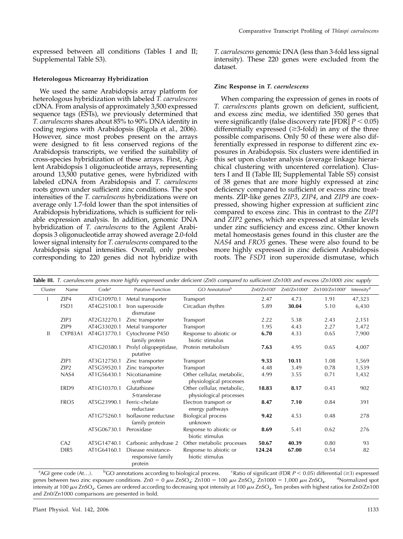expressed between all conditions (Tables I and II; Supplemental Table S3).

# Heterologous Microarray Hybridization

We used the same Arabidopsis array platform for heterologous hybridization with labeled T. caerulescens cDNA. From analysis of approximately 3,500 expressed sequence tags (ESTs), we previously determined that T. caerulescens shares about 85% to 90% DNA identity in coding regions with Arabidopsis (Rigola et al., 2006). However, since most probes present on the arrays were designed to fit less conserved regions of the Arabidopsis transcripts, we verified the suitability of cross-species hybridization of these arrays. First, Agilent Arabidopsis 1 oligonucleotide arrays, representing around 13,500 putative genes, were hybridized with labeled cDNA from Arabidopsis and T. caerulescens roots grown under sufficient zinc conditions. The spot intensities of the T. caerulescens hybridizations were on average only 1.7-fold lower than the spot intensities of Arabidopsis hybridizations, which is sufficient for reliable expression analysis. In addition, genomic DNA hybridization of T. caerulescens to the Agilent Arabidopsis 3 oligonucleotide array showed average 2.0-fold lower signal intensity for T. caerulescens compared to the Arabidopsis signal intensities. Overall, only probes corresponding to 220 genes did not hybridize with

T. caerulescens genomic DNA (less than 3-fold less signal intensity). These 220 genes were excluded from the dataset.

## Zinc Response in T. caerulescens

When comparing the expression of genes in roots of T. caerulescens plants grown on deficient, sufficient, and excess zinc media, we identified 350 genes that were significantly (false discovery rate [FDR]  $P < 0.05$ ) differentially expressed  $(\geq 3$ -fold) in any of the three possible comparisons. Only 50 of these were also differentially expressed in response to different zinc exposures in Arabidopsis. Six clusters were identified in this set upon cluster analysis (average linkage hierarchical clustering with uncentered correlation). Clusters I and II (Table III; Supplemental Table S5) consist of 38 genes that are more highly expressed at zinc deficiency compared to sufficient or excess zinc treatments. ZIP-like genes ZIP3, ZIP4, and ZIP9 are coexpressed, showing higher expression at sufficient zinc compared to excess zinc. This in contrast to the ZIP1 and ZIP2 genes, which are expressed at similar levels under zinc sufficiency and excess zinc. Other known metal homeostasis genes found in this cluster are the NAS4 and FRO5 genes. These were also found to be more highly expressed in zinc deficient Arabidopsis roots. The FSD1 iron superoxide dismutase, which

| Cluster | Name             | Code <sup>a</sup> | <b>Putative Function</b>                            | GO Annotation <sup>b</sup>                            | Zn0/Zn100 <sup>c</sup> | Zn0/Zn1000 <sup>c</sup> | Zn100/Zn1000 <sup>c</sup> | Intensity <sup>d</sup> |
|---------|------------------|-------------------|-----------------------------------------------------|-------------------------------------------------------|------------------------|-------------------------|---------------------------|------------------------|
|         | ZIP4             | AT1G10970.1       | Metal transporter                                   | Transport                                             | 2.47                   | 4.73                    | 1.91                      | 47,323                 |
|         | FSD1             | AT4G25100.1       | Iron superoxide<br>dismutase                        | Circadian rhythm                                      | 5.89                   | 30.04                   | 5.10                      | 6,430                  |
|         | ZIP3             | AT2G32270.1       | Zinc transporter                                    | Transport                                             | 2.22                   | 5.38                    | 2.43                      | 2,151                  |
|         | ZIP9             | AT4G33020.1       | Metal transporter                                   | Transport                                             | 1.95                   | 4.43                    | 2.27                      | 1,472                  |
| Ш       | CYP83A1          | AT4G13770.1       | Cytochrome P450<br>family protein                   | Response to abiotic or<br>biotic stimulus             | 6.70                   | 4.33                    | 0.65                      | 7,900                  |
|         |                  | AT1G20380.1       | Prolyl oligopeptidase,<br>putative                  | Protein metabolism                                    | 7.63                   | 4.95                    | 0.65                      | 4,007                  |
|         | ZIP1             | AT3G12750.1       | Zinc transporter                                    | Transport                                             | 9.33                   | 10.11                   | 1.08                      | 1,569                  |
|         | ZIP2             | AT5G59520.1       | Zinc transporter                                    | Transport                                             | 4.48                   | 3.49                    | 0.78                      | 1,539                  |
|         | NAS4             | AT1G56430.1       | Nicotianamine<br>synthase                           | Other cellular, metabolic,<br>physiological processes | 4.99                   | 3.55                    | 0.71                      | 1,432                  |
|         | ERD9             | AT1G10370.1       | Glutathione<br>S-transferase                        | Other cellular, metabolic,<br>physiological processes | 18.83                  | 8.17                    | 0.43                      | 902                    |
|         | FRO <sub>5</sub> | AT5G23990.1       | Ferric-chelate<br>reductase                         | Electron transport or<br>energy pathways              | 8.47                   | 7.10                    | 0.84                      | 391                    |
|         |                  | AT1G75260.1       | Isoflavone reductase<br>family protein              | Biological process<br>unknown                         | 9.42                   | 4.53                    | 0.48                      | 278                    |
|         |                  | AT5G06730.1       | Peroxidase                                          | Response to abiotic or<br>biotic stimulus             | 8.69                   | 5.41                    | 0.62                      | 276                    |
|         | CA2              | AT5G14740.1       | Carbonic anhydrase 2                                | Other metabolic processes                             | 50.67                  | 40.39                   | 0.80                      | 93                     |
|         | DIR <sub>5</sub> | AT1G64160.1       | Disease resistance-<br>responsive family<br>protein | Response to abiotic or<br>biotic stimulus             | 124.24                 | 67.00                   | 0.54                      | 82                     |

<sup>a</sup>AGI gene code (At...). b  ${}^{\text{b}}$ GO annotations according to biological process. <sup>c</sup>Ratio of significant (FDR  $P < 0.05$ ) differential ( $\geq$ 3) expressed genes between two zinc exposure conditions. Zn0 = 0  $\mu$ m ZnSO<sub>4</sub>; Zn100 = 100  $\mu$ m ZnSO<sub>4</sub>; Zn1000 = 1,000  $\mu$ m ZnSO<sub>4</sub>. Normalized spot intensity at 100  $\mu$ M ZnSO<sub>4</sub>. Genes are ordered according to decreasing spot intensity at 100  $\mu$ M ZnSO<sub>4</sub>. Ten probes with highest ratios for Zn0/Zn100 and Zn0/Zn1000 comparisons are presented in bold.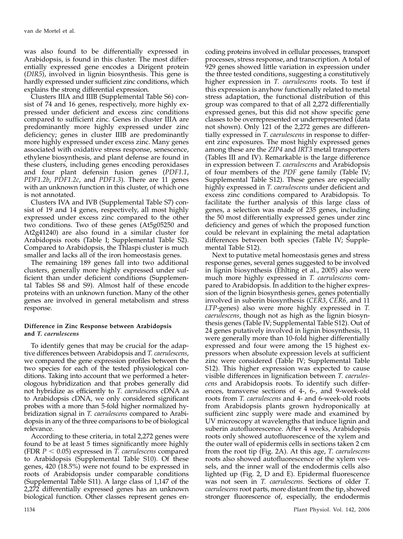was also found to be differentially expressed in Arabidopsis, is found in this cluster. The most differentially expressed gene encodes a Dirigent protein (DIR5), involved in lignin biosynthesis. This gene is hardly expressed under sufficient zinc conditions, which explains the strong differential expression.

Clusters IIIA and IIIB (Supplemental Table S6) consist of 74 and 16 genes, respectively, more highly expressed under deficient and excess zinc conditions compared to sufficient zinc. Genes in cluster IIIA are predominantly more highly expressed under zinc deficiency; genes in cluster IIIB are predominantly more highly expressed under excess zinc. Many genes associated with oxidative stress response, senescence, ethylene biosynthesis, and plant defense are found in these clusters, including genes encoding peroxidases and four plant defensin fusion genes (PDF1.1, PDF1.2b, PDF1.2c, and PDF1.3). There are 11 genes with an unknown function in this cluster, of which one is not annotated.

Clusters IVA and IVB (Supplemental Table S7) consist of 19 and 14 genes, respectively, all most highly expressed under excess zinc compared to the other two conditions. Two of these genes (At5g05250 and At2g41240) are also found in a similar cluster for Arabidopsis roots (Table I; Supplemental Table S2). Compared to Arabidopsis, the Thlaspi cluster is much smaller and lacks all of the iron homeostasis genes.

The remaining 189 genes fall into two additional clusters, generally more highly expressed under sufficient than under deficient conditions (Supplemental Tables S8 and S9). Almost half of these encode proteins with an unknown function. Many of the other genes are involved in general metabolism and stress response.

# Difference in Zinc Response between Arabidopsis and T. caerulescens

To identify genes that may be crucial for the adaptive differences between Arabidopsis and T. caerulescens, we compared the gene expression profiles between the two species for each of the tested physiological conditions. Taking into account that we performed a heterologous hybridization and that probes generally did not hybridize as efficiently to T. caerulescens cDNA as to Arabidopsis cDNA, we only considered significant probes with a more than 5-fold higher normalized hybridization signal in T. caerulescens compared to Arabidopsis in any of the three comparisons to be of biological relevance.

According to these criteria, in total 2,272 genes were found to be at least 5 times significantly more highly (FDR  $P < 0.05$ ) expressed in *T. caerulescens* compared to Arabidopsis (Supplemental Table S10). Of these genes, 420 (18.5%) were not found to be expressed in roots of Arabidopsis under comparable conditions (Supplemental Table S11). A large class of 1,147 of the 2,272 differentially expressed genes has an unknown biological function. Other classes represent genes en-

coding proteins involved in cellular processes, transport processes, stress response, and transcription. A total of 929 genes showed little variation in expression under the three tested conditions, suggesting a constitutively higher expression in T. caerulescens roots. To test if this expression is anyhow functionally related to metal stress adaptation, the functional distribution of this group was compared to that of all 2,272 differentially expressed genes, but this did not show specific gene classes to be overrepresented or underrepresented (data not shown). Only 121 of the 2,272 genes are differentially expressed in T. caerulescens in response to different zinc exposures. The most highly expressed genes among these are the ZIP4 and IRT3 metal transporters (Tables III and IV). Remarkable is the large difference in expression between T. caerulescens and Arabidopsis of four members of the PDF gene family (Table IV; Supplemental Table S12). These genes are especially highly expressed in T. caerulescens under deficient and excess zinc conditions compared to Arabidopsis. To facilitate the further analysis of this large class of genes, a selection was made of 235 genes, including the 50 most differentially expressed genes under zinc deficiency and genes of which the proposed function could be relevant in explaining the metal adaptation differences between both species (Table IV; Supplemental Table S12).

Next to putative metal homeostasis genes and stress response genes, several genes suggested to be involved in lignin biosynthesis (Ehlting et al., 2005) also were much more highly expressed in T. caerulescens compared to Arabidopsis. In addition to the higher expression of the lignin biosynthesis genes, genes potentially involved in suberin biosynthesis (CER3, CER6, and 11 LTP-genes) also were more highly expressed in T. caerulescens, though not as high as the lignin biosynthesis genes (Table IV; Supplemental Table S12). Out of 24 genes putatively involved in lignin biosynthesis, 11 were generally more than 10-fold higher differentially expressed and four were among the 15 highest expressors when absolute expression levels at sufficient zinc were considered (Table IV; Supplemental Table S12). This higher expression was expected to cause visible differences in lignification between T. caerulescens and Arabidopsis roots. To identify such differences, transverse sections of 4-, 6-, and 9-week-old roots from T. caerulescens and 4- and 6-week-old roots from Arabidopsis plants grown hydroponically at sufficient zinc supply were made and examined by UV microscopy at wavelengths that induce lignin and suberin autofluorescence. After 4 weeks, Arabidopsis roots only showed autofluorescence of the xylem and the outer wall of epidermis cells in sections taken 2 cm from the root tip (Fig. 2A). At this age, T. caerulescens roots also showed autofluorescence of the xylem vessels, and the inner wall of the endodermis cells also lighted up (Fig. 2, D and E). Epidermal fluorescence was not seen in T. caerulescens. Sections of older T. caerulescens root parts, more distant from the tip, showed stronger fluorescence of, especially, the endodermis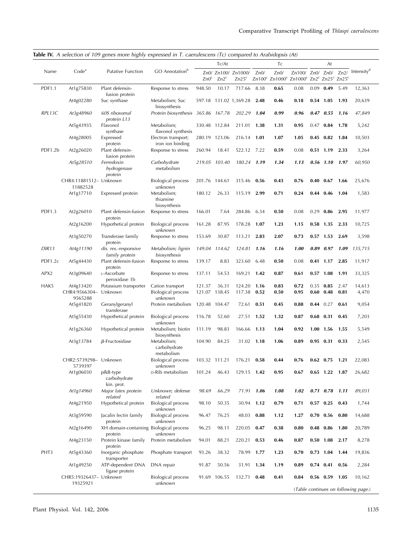|                  |                                    |                                                    |                                             |                         | Tc/At            |                                          |              | Tс                     |                                              |      | At                   |              |                        |
|------------------|------------------------------------|----------------------------------------------------|---------------------------------------------|-------------------------|------------------|------------------------------------------|--------------|------------------------|----------------------------------------------|------|----------------------|--------------|------------------------|
| Name             | Code <sup>a</sup>                  | <b>Putative Function</b>                           | GO Annotation <sup>b</sup>                  | Zn0 <sup>c</sup>        | Zn2 <sup>c</sup> | Zn0/ Zn100/ Zn1000/<br>Zn25 <sup>c</sup> | Zn0/         | Zn0/<br>Zn100° Zn1000° | Zn100/ Zn0/ Zn0/<br>Zn1000° Zn2° Zn25° Zn25° |      |                      | Zn2/         | Intensity <sup>d</sup> |
| PDF1.1           | At1g75830                          | Plant defensin-<br>fusion protein                  | Response to stress                          | 948.50                  | 10.17            | 717.66                                   | 8.38         | 0.65                   | 0.08                                         | 0.09 | 0.49                 | 5.49         | 12,363                 |
|                  | At4g02280                          | Suc synthase                                       | Metabolism; Suc<br>biosynthesis             | 597.18                  |                  | 131.02 1,369.28                          | 2.48         | 0.46                   | 0.18                                         |      | 0.54 1.05            | 1.93         | 20,639                 |
| RPL13C           | At3g48960                          | 60S ribosomal<br>protein L13                       | Protein biosynthesis 365.86 167.78          |                         |                  | 202.29                                   | 1.04         | 0.99                   | 0.96                                         |      | $0.47$ 0.55          | 1.16         | 47,849                 |
|                  | At5g43935                          | Flavonol<br>synthase                               | Metabolism;<br>flavonol synthesis           | 330.48 112.84           |                  | 211.01                                   | 1.38         | 1.31                   | 0.95                                         |      | $0.47$ 0.84          | 1.78         | 5,242                  |
|                  | At4g28005                          | Expressed<br>protein                               | Electron transport;<br>iron ion binding     | 280.19 123.06           |                  | 216.14                                   | 1.01         | 1.07                   | 1.05                                         |      | $0.45$ 0.82          | 1.84         | 10,503                 |
| PDF1.2b          | At2g26020                          | Plant defensin-<br>fusion protein                  | Response to stress                          | 260.94                  | 18.41            | 522.12                                   | 7.22         | 0.59                   | 0.08                                         |      | $0.51$ 1.19          | 2.33         | 3,264                  |
|                  | At5g28510                          | Ferredoxin<br>hydrogenase<br>protein               | Carbohydrate<br>metabolism                  |                         | 219.05 103.40    | 180.24                                   | 1.19         | 1.34                   | 1.13                                         |      | 0.56 1.10            | 1.97         | 60,950                 |
|                  | CHR4:11881512- Unknown<br>11882528 |                                                    | Biological process<br>unknown               | 201.76 144.61           |                  | 315.46                                   | 0.56         | 0.43                   | 0.76                                         |      | $0.40 \quad 0.67$    | 1.66         | 25,676                 |
|                  | At1g17710                          | Expressed protein                                  | Metabolism;<br>thiamine<br>biosynthesis     | 180.12                  | 26.33            | 115.19                                   | 2.99         | 0.71                   | 0.24                                         |      | $0.44$ 0.46          | 1.04         | 1,583                  |
| <b>PDF1.3</b>    | At2g26010                          | Plant defensin-fusion<br>protein                   | Response to stress                          | 166.01                  | 7.64             | 284.86                                   | 6.34         | 0.50                   | 0.08                                         | 0.29 | 0.86                 | 2.95         | 11,977                 |
|                  | At2g16200                          | Hypothetical protein                               | Biological process<br>unknown               | 161.28                  | 87.95            | 178.28                                   | 1.07         | 1.23                   | 1.15                                         | 0.58 | 1.35                 | 2.33         | 10,725                 |
|                  | At3g50270                          | Transferase family<br>protein                      | Response to stress                          | 153.69                  | 30.87            | 113.21                                   | 2.83         | 2.07                   | 0.73                                         |      | $0.57$ 1.53          | 2.69         | 3,598                  |
| DIR13            | At4g11190                          | dis. res.-responsive<br>family protein             | Metabolism; lignin<br>biosynthesis          | 149.04                  | 114.62           | 124.81                                   | 1.16         | 1.16                   | 1.00                                         | 0.89 | 0.97                 | 1.09         | 135,715                |
| PDF1.2c          | At5g44430                          | Plant defensin-fusion<br>protein                   | Response to stress                          | 139.17                  | 8.83             | 323.60                                   | 6.48         | 0.50                   | 0.08                                         |      | $0.41$ 1.17          | 2.85         | 11,917                 |
| APX2             | At3g09640                          | L-Ascorbate<br>peroxidase 1b                       | Response to stress                          | 137.11                  | 54.53            | 169.21                                   | 1.42         | 0.87                   | 0.61                                         | 0.57 | 1.08                 | 1.91         | 33,325                 |
| HAK5             | At4g13420<br>CHR4:9566304-         | Potassium transporter<br>Unknown                   | Cation transport<br>Biological process      | 121.37<br>121.07 138.45 | 36.31            | 124.20<br>117.38                         | 1.16<br>0.52 | 0.83<br>0.50           | 0.72<br>0.95                                 | 0.35 | 0.85<br>$0.60$ 0.48  | 2.47<br>0.81 | 14,613<br>4,470        |
|                  | 9565288<br>At5g41820               | Geranylgeranyl                                     | unknown<br>Protein metabolism               | 120.48 104.47           |                  | 72.61                                    | 0.51         | 0.45                   | 0.88                                         |      | $0.44$ 0.27          | 0.61         | 9,054                  |
|                  | At5g55430                          | transferase<br>Hypothetical protein                | Biological process<br>unknown               | 116.78                  | 52.60            | 27.51                                    | 1.52         | 1.32                   | 0.87                                         |      | $0.68$ 0.31          | 0.45         | 7,203                  |
|                  | At1g26360                          | Hypothetical protein                               | Metabolism; biotin<br>biosynthesis          | 111.19                  | 98.83            | 166.66                                   | 1.13         | 1.04                   | 0.92                                         |      | 1.00 1.56            | 1.55         | 5,549                  |
|                  | At3g13784                          | $\beta$ -Fructosidase                              | Metabolism;<br>carbohydrate<br>metabolism   | 104.90                  | 84.25            |                                          | 31.02 1.18   | 1.06                   | 0.89                                         |      | $0.95$ 0.31          | 0.33         | 2,545                  |
|                  | CHR2:5739298-<br>5739397           | Unknown                                            | Biological process 103.32 111.21<br>unknown |                         |                  | 176.21                                   | 0.58         | 0.44                   | 0.76                                         | 0.62 | 0.75                 | 1.21         | 22,083                 |
|                  | At1g06030                          | pfkB-type<br>carbohydrate<br>kin. prot.            | D-Rib metabolism                            | 101.24                  | 46.43            | 129.15 1.42                              |              | 0.95                   | 0.67                                         |      | $0.65$ 1.22 1.87     |              | 26,682                 |
|                  | At1g14960                          | Major latex protein<br>related                     | Unknown; defense<br>related                 | 98.69                   | 66.29            |                                          | 71.91 1.06   | 1.08                   | 1.02                                         |      | $0.71$ $0.78$ 1.11   |              | 89,031                 |
|                  | At4g21950                          | Hypothetical protein                               | Biological process<br>unknown               | 98.10                   | 50.35            |                                          | 30.94 1.12   | 0.79                   | 0.71                                         |      | $0.57$ 0.25          | 0.43         | 1,744                  |
|                  | At3g59590                          | Jacalin lectin family<br>protein                   | Biological process<br>unknown               | 96.47                   | 76.25            | 48.03                                    | 0.88         | 1.12                   | 1.27                                         |      | $0.70 \quad 0.56$    | 0.80         | 14,688                 |
|                  | At2g16490                          | XH domain-containing Biological process<br>protein | unknown                                     | 96.25                   | 98.11            | 220.05                                   | 0.47         | 0.38                   | 0.80                                         |      | $0.48$ 0.86          | 1.80         | 20,789                 |
|                  | At4g23150                          | Protein kinase family<br>protein                   | Protein metabolism                          | 94.01                   | 88.21            | 220.21                                   | 0.53         | 0.46                   | 0.87                                         |      | $0.50$ $1.08$ $2.17$ |              | 8,278                  |
| PHT <sub>3</sub> | At5g43360                          | Inorganic phosphate<br>transporter                 | Phosphate transport                         | 93.26                   | 38.32            |                                          | 78.99 1.77   | 1.23                   | 0.70                                         |      | $0.73$ 1.04          | - 1.44       | 19,836                 |
|                  | At1g49250                          | ATP-dependent DNA<br>ligase protein                | DNA repair                                  | 91.87                   | 50.56            |                                          | 31.91 1.34   | 1.19                   | 0.89                                         |      | $0.74$ 0.41          | 0.56         | 2,284                  |
|                  | CHR5:19326437- Unknown<br>19325921 |                                                    | Biological process<br>unknown               |                         | 91.69 106.55     | 132.71                                   | 0.48         | 0.41                   | 0.84                                         |      | $0.56$ $0.59$ $1.05$ |              | 10,162                 |

Table IV. A selection of 109 genes more highly expressed in T. caerulescens (Tc) compared to Arabidopsis (At)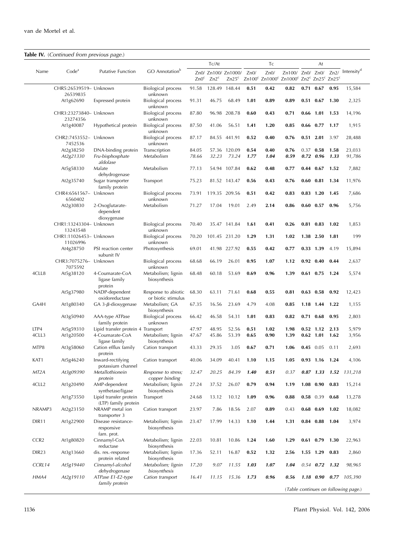|                   |                                    |                                                    |                                           |                  | Tc/At            |                                               |      | Tc   |                                                                                                                                          |      | At                   |      |                        |
|-------------------|------------------------------------|----------------------------------------------------|-------------------------------------------|------------------|------------------|-----------------------------------------------|------|------|------------------------------------------------------------------------------------------------------------------------------------------|------|----------------------|------|------------------------|
| Name              | Code <sup>a</sup>                  | <b>Putative Function</b>                           | GO Annotation <sup>b</sup>                | Zn0 <sup>c</sup> | Zn2 <sup>c</sup> | Zn0/ Zn100/ Zn1000/ Zn0/<br>Zn25 <sup>c</sup> |      | Zn0/ | Zn100/ Zn0/ Zn0/ Zn2/<br>Zn100 <sup>c</sup> Zn1000 <sup>c</sup> Zn1000 <sup>c</sup> Zn2 <sup>c</sup> Zn25 <sup>c</sup> Zn25 <sup>c</sup> |      |                      |      | Intensity <sup>d</sup> |
|                   | CHR5:26539519- Unknown             |                                                    | Biological process                        | 91.58            |                  | 128.49 148.44                                 | 0.51 | 0.42 | 0.82                                                                                                                                     |      | $0.71 \quad 0.67$    | 0.95 | 15,584                 |
|                   | 26539835<br>At1g62690              | Expressed protein                                  | unknown<br>Biological process             | 91.31            | 46.75            | 68.49                                         | 1.01 | 0.89 | 0.89                                                                                                                                     |      | $0.51 \quad 0.67$    | 1.30 | 2,325                  |
|                   | CHR3:23273840- Unknown             |                                                    | unknown<br>Biological process             | 87.80            |                  | 96.98 208.78                                  | 0.60 | 0.43 | 0.71                                                                                                                                     |      | $0.66$ 1.01          | 1.53 | 14,196                 |
|                   | 23274356<br>At1g40087              | Hypothetical protein                               | unknown<br>Biological process             | 87.50            | 41.06            | 56.51                                         | 1.41 | 1.20 | 0.85                                                                                                                                     |      | $0.66$ 0.77          | 1.17 | 1,915                  |
|                   | CHR2:7453552-                      | Unknown                                            | unknown<br>Biological process             | 87.17            |                  | 84.55 441.91                                  | 0.52 | 0.40 | 0.76                                                                                                                                     |      | $0.51$ 2.01          | 3.97 | 28,488                 |
|                   | 7452536<br>At2g38250               | DNA-binding protein                                | unknown<br>Transcription                  | 84.05            |                  | 57.36 120.09                                  | 0.54 | 0.40 | 0.76                                                                                                                                     | 0.37 | 0.58                 | 1.58 | 23,033                 |
|                   | At2g21330                          | Fru-bisphosphate<br>aldolase                       | Metabolism                                | 78.66            | 32.23            | 73.24                                         | 1.77 | 1.04 | 0.59                                                                                                                                     | 0.72 | 0.96                 | 1.33 | 91,786                 |
|                   | At5g58330                          | Malate<br>dehydrogenase                            | Metabolism                                | 77.13            |                  | 54.94 107.84                                  | 0.62 | 0.48 | 0.77                                                                                                                                     |      | $0.44$ 0.67          | 1.52 | 7,882                  |
|                   | At2g35740                          | Sugar transporter<br>family protein                | Transport                                 | 75.23            |                  | 81.52 143.47                                  | 0.56 | 0.43 | 0.76                                                                                                                                     |      | $0.60$ 0.81          | 1.34 | 11,976                 |
|                   | CHR4:6561567- Unknown<br>6560402   |                                                    | Biological process<br>unknown             | 73.91            |                  | 119.35 209.56                                 | 0.51 | 0.42 | 0.83                                                                                                                                     |      | $0.83$ 1.20          | 1.45 | 7,686                  |
|                   | At2g30830                          | 2-Oxoglutarate-<br>dependent<br>dioxygenase        | Metabolism                                | 71.27            | 17.04            | 19.01                                         | 2.49 | 2.14 | 0.86                                                                                                                                     |      | $0.60$ 0.57          | 0.96 | 5,756                  |
|                   | CHR1:13243304- Unknown<br>13243548 |                                                    | Biological process<br>unknown             | 70.40            |                  | 35.47 141.84                                  | 1.61 | 0.41 | 0.26                                                                                                                                     |      | $0.81$ 0.83          | 1.02 | 1,853                  |
|                   | CHR1:11026453- Unknown<br>11026996 |                                                    | Biological process<br>unknown             | 70.20            |                  | 101.45 231.20                                 | 1.29 | 1.31 | 1.02                                                                                                                                     |      | 1.38 2.50            | 1.81 | 199                    |
|                   | At4g28750                          | PSI reaction center<br>subunit IV                  | Photosynthesis                            | 69.01            |                  | 41.98 227.92                                  | 0.55 | 0.42 | 0.77                                                                                                                                     | 0.33 | 1.39                 | 4.19 | 15,894                 |
|                   | CHR3:7075276- Unknown<br>7075592   |                                                    | <b>Biological process</b><br>unknown      | 68.68            | 66.19            | 26.01                                         | 0.95 | 1.07 | 1.12                                                                                                                                     |      | $0.92 \quad 0.40$    | 0.44 | 2,637                  |
| 4CLL8             | At5g38120                          | 4-Coumarate-CoA<br>ligase family<br>protein        | Metabolism; lignin<br>biosynthesis        | 68.48            | 60.18            | 53.69                                         | 0.69 | 0.96 | 1.39                                                                                                                                     |      | $0.61$ 0.75          | 1.24 | 5,574                  |
|                   | At5g37980                          | NADP-dependent<br>oxidoreductase                   | Response to abiotic<br>or biotic stimulus | 68.30            | 63.11            | 71.61                                         | 0.68 | 0.55 | 0.81                                                                                                                                     |      | $0.63$ 0.58          | 0.92 | 12,423                 |
| GA4H              | At1g80340                          | $GA$ 3- $\beta$ -dioxygenase                       | Metabolism; GA<br>biosynthesis            | 67.35            | 16.56            | 23.69                                         | 4.79 | 4.08 | 0.85                                                                                                                                     |      | 1.18 1.44 1.22       |      | 1,155                  |
|                   | At3g50940                          | AAA-type ATPase<br>family protein                  | Biological process<br>unknown             | 66.42            | 46.58            | 54.31                                         | 1.01 | 0.83 | 0.82                                                                                                                                     |      | $0.71 \quad 0.68$    | 0.95 | 2,803                  |
| LTP4              | At5g59310                          | Lipid transfer protein 4 Transport                 |                                           | 47.97            | 48.95            | 52.56                                         | 0.51 | 1.02 | 1.98                                                                                                                                     |      | $0.52$ 1.12          | 2.13 | 5,979                  |
| 4CLL3             | At1g20500                          | 4-Coumarate-CoA<br>ligase family                   | Metabolism; lignin<br>biosynthesis        | 47.67            | 45.86            | 53.39                                         | 0.65 | 0.90 | 1.39                                                                                                                                     |      | $0.62$ 1.01          | 1.62 | 3,956                  |
| MTP8              | At3g58060                          | Cation efflux family<br>protein                    | Cation transport                          | 43.33            | 29.35            | 3.05                                          | 0.67 | 0.71 | 1.06                                                                                                                                     | 0.45 | 0.05                 | 0.11 | 2,693                  |
| KAT1              | At5g46240                          | Inward-rectifying<br>potassium channel             | Cation transport                          | 40.06            | 34.09            | 40.41                                         | 1.10 | 1.15 | 1.05                                                                                                                                     |      | $0.93$ 1.16          | 1.24 | 4,106                  |
| MT <sub>2</sub> A | At3g09390                          | Metallothionein<br>protein                         | Response to stress;<br>copper binding     | 32.47            | 20.25            | 84.39                                         | 1.40 | 0.51 | 0.37                                                                                                                                     |      | $0.87$ 1.33          |      | 1.52 131,218           |
| 4CLL2             | At1g20490                          | AMP-dependent<br>synthetase/ligase                 | Metabolism; lignin<br>biosynthesis        | 27.24            | 37.52            | 26.07                                         | 0.79 | 0.94 | 1.19                                                                                                                                     | 1.08 | 0.90                 | 0.83 | 15,214                 |
|                   | At1g73550                          | Lipid transfer protein<br>(LTP) family protein     | Transport                                 | 24.68            | 13.12            | 10.12                                         | 1.09 | 0.96 | 0.88                                                                                                                                     |      | 0.58 0.39            | 0.68 | 13,278                 |
| NRAMP3            | At2g23150                          | NRAMP metal ion                                    | Cation transport                          | 23.97            | 7.86             | 18.56                                         | 2.07 | 0.89 | 0.43                                                                                                                                     |      | $0.68$ 0.69          | 1.02 | 18,082                 |
| DIR <sub>11</sub> | At1g22900                          | transporter 3<br>Disease resistance-<br>responsive | Metabolism; lignin<br>biosynthesis        | 23.47            | 17.99            | 14.33                                         | 1.10 | 1.44 | 1.31                                                                                                                                     |      | $0.84$ 0.88          | 1.04 | 3,974                  |
| CCR <sub>2</sub>  | At1g80820                          | fam. prot.<br>Cinnamyl-CoA                         | Metabolism; lignin                        | 22.03            | 10.81            | 10.86                                         | 1.24 | 1.60 | 1.29                                                                                                                                     |      | $0.61$ $0.79$ $1.30$ |      | 22,963                 |
| DIR <sub>23</sub> | At3g13660                          | reductase<br>dis. res.-response                    | biosynthesis<br>Metabolism; lignin        | 17.36            | 52.11            | 16.87                                         | 0.52 | 1.32 | 2.56                                                                                                                                     |      | 1.55 1.29            | 0.83 | 2,860                  |
| CCRL14            | At5g19440                          | protein related<br>Cinnamyl-alcohol                | biosynthesis<br>Metabolism; lignin        | 17.20            | 9.07             | 11.55                                         | 1.03 | 1.07 | 1.04                                                                                                                                     |      | $0.54$ 0.72 1.32     |      | 98,965                 |
| HMA4              | At2g19110                          | dehydrogenase<br>ATPase E1-E2-type                 | biosynthesis<br>Cation transport          | 16.41            | 11.15            | 15.36                                         | 1.73 | 0.96 | 0.56                                                                                                                                     |      |                      |      | 1.18 0.90 0.77 105,390 |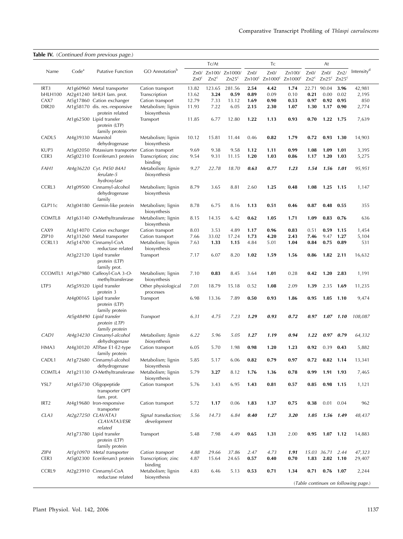|                   |                    |                                                             |                                     |                          | Tc/At                      |                              |      | Tс                            |                               | At                       |                                    |               |               |
|-------------------|--------------------|-------------------------------------------------------------|-------------------------------------|--------------------------|----------------------------|------------------------------|------|-------------------------------|-------------------------------|--------------------------|------------------------------------|---------------|---------------|
| Name              | Code <sup>a</sup>  | <b>Putative Function</b>                                    | GO Annotation <sup>b</sup>          | Zn0/<br>Zn0 <sup>c</sup> | Zn100/<br>Zn2 <sup>c</sup> | Zn1000/<br>Zn25 <sup>c</sup> | Zn0/ | Zn0/<br>$Zn100^c$ Zn1000 $^c$ | Zn100/<br>Zn1000 <sup>c</sup> | Zn0/<br>Zn2 <sup>c</sup> | Zn0/<br>$Zn25^c$ Zn25 <sup>c</sup> | Zn2/          | Intensity $d$ |
| IRT3              |                    | At1g60960 Metal transporter                                 | Cation transport                    | 13.82                    | 123.65                     | 281.56                       | 2.54 | 4.42                          | 1.74                          |                          | 22.71 90.04                        | 3.96          | 42,981        |
| bHLH100           |                    | At2g41240 bHLH fam. prot.                                   | Transcription                       | 13.62                    | 3.24                       | 0.59                         | 0.89 | 0.09                          | 0.10                          | 0.21                     | 0.00                               | 0.02          | 2,195         |
| CAX7              |                    | At5g17860 Cation exchanger                                  | Cation transport                    | 12.79                    | 7.33                       | 13.12                        | 1.69 | 0.90                          | 0.53                          | 0.97                     | 0.92                               | 0.95          | 850           |
| <b>DIR20</b>      |                    | At1g58170 dis. res.-responsive<br>protein related           | Metabolism; lignin<br>biosynthesis  | 11.93                    | 7.22                       | 6.05                         | 2.15 | 2.30                          | 1.07                          | 1.30                     | 1.17                               | 0.90          | 2,774         |
|                   |                    | At1g62500 Lipid transfer<br>protein (LTP)<br>family protein | Transport                           | 11.85                    | 6.77                       | 12.80                        | 1.22 | 1.13                          | 0.93                          | 0.70                     |                                    | 1.22 1.75     | 7,639         |
| CADL <sub>5</sub> | At4g39330 Mannitol | dehydrogenase                                               | Metabolism; lignin<br>biosynthesis  | 10.12                    | 15.81                      | 11.44                        | 0.46 | 0.82                          | 1.79                          | 0.72                     |                                    | $0.93$ 1.30   | 14,903        |
| KUP3              |                    | At3g02050 Potassium transporter Cation transport            |                                     | 9.69                     | 9.38                       | 9.58                         | 1.12 | 1.11                          | 0.99                          | 1.08                     | 1.09                               | 1.01          | 3,395         |
| CER3              |                    | At5g02310 Eceriferum3 protein                               | Transcription; zinc<br>binding      | 9.54                     | 9.31                       | 11.15                        | 1.20 | 1.03                          | 0.86                          | 1.17                     | 1.20                               | 1.03          | 5,275         |
| FAH1              |                    | At4g36220 Cyt. P450 84A1<br>ferulate-5<br>hydroxylase       | Metabolism; lignin<br>biosynthesis  | 9.27                     | 22.78                      | 18.70                        | 0.63 | 0.77                          | 1.23                          | 1.54                     | 1.56                               | 1.01          | 95,951        |
| CCRL3             |                    | At1g09500 Cinnamyl-alcohol<br>dehydrogenase<br>family       | Metabolism; lignin<br>biosynthesis  | 8.79                     | 3.65                       | 8.81                         | 2.60 | 1.25                          | 0.48                          | 1.08                     |                                    | $1.25$ 1.15   | 1,147         |
| GLP11c            |                    | At3g04180 Germin-like protein                               | Metabolism; lignin<br>biosynthesis  | 8.78                     | 6.75                       | 8.16                         | 1.13 | 0.51                          | 0.46                          | 0.87                     | 0.48                               | 0.55          | 355           |
| COMTL8            |                    | At1g63140 O-Methyltransferase                               | Metabolism; lignin<br>biosynthesis  | 8.15                     | 14.35                      | 6.42                         | 0.62 | 1.05                          | 1.71                          | 1.09                     | 0.83                               | 0.76          | 636           |
| CAX9              |                    | At3g14070 Cation exchanger                                  | Cation transport                    | 8.03                     | 3.53                       | 4.89                         | 1.17 | 0.96                          | 0.83                          | 0.51                     | 0.59                               | 1.15          | 1,454         |
| ZIP10             |                    | At1g31260 Metal transporter                                 | Cation transport                    | 7.66                     | 33.02                      | 17.24                        | 1.73 | 4.20                          | 2.43                          | 7.46                     | 9.47                               | 1.27          | 5,104         |
| CCRL13            |                    | At5g14700 Cinnamyl-CoA<br>reductase related                 | Metabolism; lignin<br>biosynthesis  | 7.63                     | 1.33                       | 1.15                         | 4.84 | 5.01                          | 1.04                          | 0.84                     | 0.75                               | 0.89          | 531           |
|                   |                    | At3g22120 Lipid transfer<br>protein (LTP)<br>family prot.   | Transport                           | 7.17                     | 6.07                       | 8.20                         | 1.02 | 1.59                          | 1.56                          | 0.86                     |                                    | $1.82$ 2.11   | 16,632        |
|                   |                    | CCOMTL1 At1g67980 Caffeoyl-CoA 3-O-<br>methyltransferase    | Metabolism; lignin<br>biosynthesis  | 7.10                     | 0.83                       | 8.45                         | 3.64 | 1.01                          | 0.28                          | 0.42                     |                                    | $1.20$ 2.83   | 1,191         |
| LTP3              |                    | At5g59320 Lipid transfer<br>protein 3                       | Other physiological<br>processes    | 7.01                     | 18.79                      | 15.18                        | 0.52 | 1.08                          | 2.09                          | 1.39                     |                                    | 2.35 1.69     | 11,235        |
|                   |                    | At4g00165 Lipid transfer<br>protein (LTP)<br>family protein | Transport                           | 6.98                     | 13.36                      | 7.89                         | 0.50 | 0.93                          | 1.86                          | 0.95                     |                                    | $1.05$ 1.10   | 9,474         |
|                   |                    | At5g48490 Lipid transfer<br>protein (LTP)<br>family protein | <b>Transport</b>                    | 6.31                     | 4.75                       | 7.23                         | 1.29 | 0.93                          | 0.72                          | 0.97                     |                                    | $1.07$ $1.10$ | 108,087       |
| CAD1              |                    | At4g34230 Cinnamyl-alcohol<br>dehydrogenase                 | Metabolism; lignin<br>biosynthesis  | 6.22                     | 5.96                       | 5.05                         | 1.27 | 1.19                          | 0.94                          | 1.22                     |                                    | $0.97$ 0.79   | 64,332        |
| HMA3              |                    | At4g30120 ATPase E1-E2-type<br>family protein               | Cation transport                    | 6.05                     | 5.70                       | 1.98                         | 0.98 | 1.20                          | 1.23                          | 0.92                     |                                    | $0.39$ 0.43   | 5,882         |
| CADL1             |                    | At1g72680 Cinnamyl-alcohol<br>dehydrogenase                 | Metabolism; lignin<br>biosynthesis  | 5.85                     | 5.17                       | 6.06                         | 0.82 | 0.79                          | 0.97                          | 0.72                     | 0.82                               | 1.14          | 13,341        |
| COMTL4            |                    | At1g21130 O-Methyltransferase                               | Metabolism; lignin<br>biosynthesis  | 5.79                     | 3.27                       | 8.12                         | 1.76 | 1.36                          | 0.78                          | 0.99                     |                                    | 1.91 1.93     | 7,465         |
| YSL7              |                    | At1g65730 Oligopeptide<br>transporter OPT<br>fam. prot.     | Cation transport                    | 5.76                     | 3.43                       | 6.95                         | 1.43 | 0.81                          | 0.57                          | 0.85                     |                                    | $0.98$ 1.15   | 1,121         |
| IRT <sub>2</sub>  |                    | At4g19680 Iron-responsive<br>transporter                    | Cation transport                    | 5.72                     | 1.17                       | 0.06                         | 1.83 | 1.37                          | 0.75                          | 0.38                     |                                    | $0.01$ 0.04   | 962           |
| CLA3              |                    | At2g27250 CLAVATA3<br>CLAVATA3/ESR<br>related               | Signal transduction;<br>development | 5.56                     | 14.73                      | 6.84                         | 0.40 | 1.27                          | 3.20                          | 1.05                     |                                    | 1.56 1.49     | 48,437        |
|                   |                    | At1g73780 Lipid transfer<br>protein (LTP)<br>family protein | Transport                           | 5.48                     | 7.98                       | 4.49                         | 0.65 | 1.31                          | 2.00                          | 0.95                     |                                    | $1.07$ 1.12   | 14,883        |
| ZIP4              |                    | At1g10970 Metal transporter                                 | Cation transport                    | 4.88                     | 29.66                      | 37.86                        | 2.47 | 4.73                          | 1.91                          |                          | 15.03 36.71                        | 2.44          | 47,323        |
| CER <sub>3</sub>  |                    | At5g02300 Eceriferum3 protein                               | Transcription; zinc<br>binding      | 4.87                     | 15.64                      | 24.65                        | 0.57 | 0.40                          | 0.70                          | 1.83                     |                                    | $2.02$ 1.10   | 29,407        |
| CCRL9             |                    | At2g23910 Cinnamyl-CoA<br>reductase related                 | Metabolism; lignin<br>biosynthesis  | 4.83                     | 6.46                       | 5.13                         | 0.53 | 0.71                          | 1.34                          | 0.71                     |                                    | $0.76$ 1.07   | 2,244         |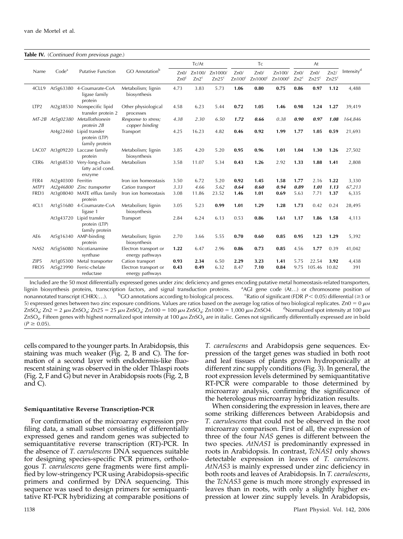|                   |                    | <b>Table IV.</b> (Continued from previous page.)            |                                          |                          |                            |                              |                            |                             |                               |                          |                           |                           |                        |
|-------------------|--------------------|-------------------------------------------------------------|------------------------------------------|--------------------------|----------------------------|------------------------------|----------------------------|-----------------------------|-------------------------------|--------------------------|---------------------------|---------------------------|------------------------|
|                   |                    |                                                             |                                          |                          | Tc/At                      |                              |                            | Tc                          |                               |                          | At                        |                           |                        |
| Name              | Code <sup>a</sup>  | <b>Putative Function</b>                                    | GO Annotation <sup>b</sup>               | Zn0/<br>Zn0 <sup>c</sup> | Zn100/<br>Zn2 <sup>c</sup> | Zn1000/<br>Zn25 <sup>c</sup> | Zn0/<br>Zn100 <sup>c</sup> | Zn0/<br>Zn1000 <sup>c</sup> | Zn100/<br>Zn1000 <sup>c</sup> | Zn0/<br>Zn2 <sup>c</sup> | Zn0/<br>Zn25 <sup>c</sup> | Zn2/<br>Zn25 <sup>c</sup> | Intensity <sup>d</sup> |
| 4CLL9             |                    | At5g63380 4-Coumarate-CoA<br>ligase family<br>protein       | Metabolism; lignin<br>biosynthesis       | 4.73                     | 3.83                       | 5.73                         | 1.06                       | 0.80                        | 0.75                          | 0.86                     | 0.97                      | 1.12                      | 4,488                  |
| LTP <sub>2</sub>  |                    | At2g38530 Nonspecific lipid<br>transfer protein 2           | Other physiological<br>processes         | 4.58                     | 6.23                       | 5.44                         | 0.72                       | 1.05                        | 1.46                          | 0.98                     | 1.24                      | 1.27                      | 39,419                 |
| $MT-2B$           |                    | At5g02380 Metallothionein<br>protein 2B                     | Response to stress;<br>copper binding    | 4.38                     | 2.30                       | 6.50                         | 1.72                       | 0.66                        | 0.38                          | 0.90                     | 0.97                      | 1.08                      | 164,846                |
|                   |                    | At4g22460 Lipid transfer<br>protein (LTP)<br>family protein | Transport                                | 4.25                     | 16.23                      | 4.82                         | 0.46                       | 0.92                        | 1.99                          | 1.77                     | 1.05                      | 0.59                      | 21,693                 |
| LAC <sub>07</sub> | At3g09220          | Laccase family<br>protein                                   | Metabolism; lignin<br>biosynthesis       | 3.85                     | 4.20                       | 5.20                         | 0.95                       | 0.96                        | 1.01                          | 1.04                     | 1.30                      | 1.26                      | 27,502                 |
| CER <sub>6</sub>  |                    | At1g68530 Very-long-chain<br>fatty acid cond.<br>enzyme     | Metabolism                               | 3.58                     | 11.07                      | 5.34                         | 0.43                       | 1.26                        | 2.92                          | 1.33                     | 1.88                      | 1.41                      | 2,808                  |
| FER4              | At2g40300 Ferritin |                                                             | Iron ion homeostasis                     | 3.50                     | 6.72                       | 5.20                         | 0.92                       | 1.45                        | 1.58                          | 1.77                     | 2.16                      | 1.22                      | 3,330                  |
| MTP1              | At2g46800          | Zinc transporter                                            | Cation transport                         | 3.33                     | 4.66                       | 5.62                         | 0.64                       | 0.60                        | 0.94                          | 0.89                     | 1.01                      | 1.13                      | 67,213                 |
| FRD3              | At3g08040          | MATE efflux family<br>protein                               | Iron ion homeostasis                     | 3.08                     | 11.86                      | 23.52                        | 1.46                       | 1.01                        | 0.69                          | 5.63                     | 7.71                      | 1.37                      | 6,335                  |
| 4CL1              |                    | At1g51680 4-Coumarate-CoA<br>ligase 1                       | Metabolism; lignin<br>biosynthesis       | 3.05                     | 5.23                       | 0.99                         | 1.01                       | 1.29                        | 1.28                          | 1.73                     | 0.42                      | 0.24                      | 28,495                 |
|                   |                    | At3g43720 Lipid transfer<br>protein (LTP)<br>family protein | Transport                                | 2.84                     | 6.24                       | 6.13                         | 0.53                       | 0.86                        | 1.61                          | 1.17                     | 1.86                      | 1.58                      | 4,113                  |
| AE <sub>6</sub>   |                    | At5g16340 AMP-binding<br>protein                            | Metabolism; lignin<br>biosynthesis       | 2.70                     | 3.66                       | 5.55                         | 0.70                       | 0.60                        | 0.85                          | 0.95                     | 1.23                      | 1.29                      | 5,392                  |
| NAS <sub>2</sub>  |                    | At5g56080 Nicotianamine<br>synthase                         | Electron transport or<br>energy pathways | 1.22                     | 6.47                       | 2.96                         | 0.86                       | 0.73                        | 0.85                          | 4.56                     | 1.77                      | 0.39                      | 41,042                 |
| ZIP5              | At1g05300          | Metal transporter                                           | Cation transport                         | 0.93                     | 2.34                       | 6.50                         | 2.29                       | 3.23                        | 1.41                          | 5.75                     | 22.54                     | 3.92                      | 4,438                  |
| FRO <sub>5</sub>  | At5g23990          | Ferric-chelate<br>reductase                                 | Electron transport or<br>energy pathways | 0.43                     | 0.49                       | 6.32                         | 8.47                       | 7.10                        | 0.84                          | 9.75                     | 105.46                    | 10.82                     | 391                    |

Included are the 50 most differentially expressed genes under zinc deficiency and genes encoding putative metal homeostasis-related transporters, lignin biosynthesis proteins, transcription factors, and signal transduction proteins.  ${}^{\text{a}}$ AGI gene code (At...) or chromosome position of nonannotated transcript (CHRX:...).  $b$ GO annotations according to biological process. <sup>c</sup>Ratio of significant (FDR  $P < 0.05$ ) differential ( $\geq 3$  or 5) expressed genes between two zinc exposure conditions. Values are ratios based on the average log ratios of two biological replicates. Zn0 = 0  $\mu$ MM  $ZnSO_4$ ; Zn2 = 2  $\mu$ m ZnSO<sub>4</sub>; Zn25 = 25  $\mu$ m ZnSO<sub>4</sub>; Zn100 = 100  $\mu$ m ZnSO<sub>4</sub>; Zn1000 = 1,000  $\mu$ m ZnSO4. <sup>d</sup>Normalized spot intensity at 100  $\mu$ <sub>M</sub>  $ZnSO_4$ . Fifteen genes with highest normalized spot intensity at 100  $\mu$ M ZnSO<sub>4</sub> are in italic. Genes not significantly differentially expressed are in bold  $(P \ge 0.05)$ .

cells compared to the younger parts. In Arabidopsis, this staining was much weaker (Fig. 2, B and C). The formation of a second layer with endodermis-like fluorescent staining was observed in the older Thlaspi roots (Fig. 2, F and G) but never in Arabidopsis roots (Fig. 2, B and C).

#### Semiquantitative Reverse Transcription-PCR

For confirmation of the microarray expression profiling data, a small subset consisting of differentially expressed genes and random genes was subjected to semiquantitative reverse transcription (RT)-PCR. In the absence of T. caerulescens DNA sequences suitable for designing species-specific PCR primers, orthologous T. caerulescens gene fragments were first amplified by low-stringency PCR using Arabidopsis-specific primers and confirmed by DNA sequencing. This sequence was used to design primers for semiquantitative RT-PCR hybridizing at comparable positions of

T. caerulescens and Arabidopsis gene sequences. Expression of the target genes was studied in both root and leaf tissues of plants grown hydroponically at different zinc supply conditions (Fig. 3). In general, the root expression levels determined by semiquantitative RT-PCR were comparable to those determined by microarray analysis, confirming the significance of the heterologous microarray hybridization results.

When considering the expression in leaves, there are some striking differences between Arabidopsis and T. caerulescens that could not be observed in the root microarray comparison. First of all, the expression of three of the four NAS genes is different between the two species. AtNAS1 is predominantly expressed in roots in Arabidopsis. In contrast, TcNAS1 only shows detectable expression in leaves of T. caerulescens. AtNAS3 is mainly expressed under zinc deficiency in both roots and leaves of Arabidopsis. In T. caerulescens, the TcNAS3 gene is much more strongly expressed in leaves than in roots, with only a slightly higher expression at lower zinc supply levels. In Arabidopsis,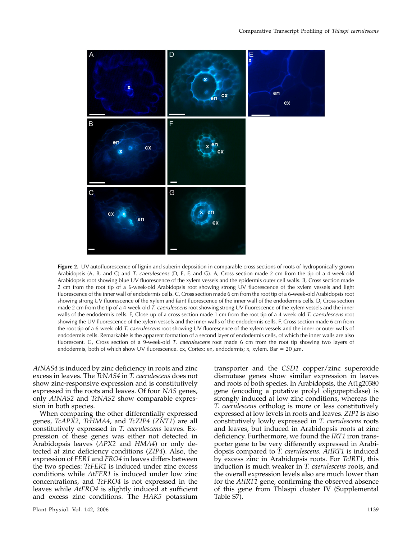

Figure 2. UV autofluorescence of lignin and suberin deposition in comparable cross sections of roots of hydroponically grown Arabidopsis (A, B, and C) and T. caerulescens (D, E, F, and G). A, Cross section made 2 cm from the tip of a 4-week-old Arabidopsis root showing blue UV fluorescence of the xylem vessels and the epidermis outer cell walls. B, Cross section made 2 cm from the root tip of a 6-week-old Arabidopsis root showing strong UV fluorescence of the xylem vessels and light fluorescence of the inner wall of endodermis cells. C, Cross section made 6 cm from the root tip of a 6-week-old Arabidopsis root showing strong UV fluorescence of the xylem and faint fluorescence of the inner wall of the endodermis cells. D, Cross section made 2 cm from the tip of a 4-week-old T. caerulescens root showing strong UV fluorescence of the xylem vessels and the inner walls of the endodermis cells. E, Close-up of a cross section made 1 cm from the root tip of a 4-week-old T. caerulescens root showing the UV fluorescence of the xylem vessels and the inner walls of the endodermis cells. F, Cross section made 6 cm from the root tip of a 6-week-old T. caerulescens root showing UV fluorescence of the xylem vessels and the inner or outer walls of endodermis cells. Remarkable is the apparent formation of a second layer of endodermis cells, of which the inner walls are also fluorescent. G, Cross section of a 9-week-old T. caerulescens root made 6 cm from the root tip showing two layers of endodermis, both of which show UV fluorescence. cx, Cortex; en, endodermis; x, xylem. Bar = 20  $\mu$ m.

AtNAS4 is induced by zinc deficiency in roots and zinc excess in leaves. The TcNAS4 in T. caerulescens does not show zinc-responsive expression and is constitutively expressed in the roots and leaves. Of four NAS genes, only AtNAS2 and TcNAS2 show comparable expression in both species.

When comparing the other differentially expressed genes, TcAPX2, TcHMA4, and TcZIP4 (ZNT1) are all constitutively expressed in T. caerulescens leaves. Expression of these genes was either not detected in Arabidopsis leaves (APX2 and HMA4) or only detected at zinc deficiency conditions (ZIP4). Also, the expression of FER1 and FRO4 in leaves differs between the two species: TcFER1 is induced under zinc excess conditions while AtFER1 is induced under low zinc concentrations, and TcFRO4 is not expressed in the leaves while AtFRO4 is slightly induced at sufficient and excess zinc conditions. The HAK5 potassium

Plant Physiol. Vol. 142, 2006 1139

transporter and the CSD1 copper/zinc superoxide dismutase genes show similar expression in leaves and roots of both species. In Arabidopsis, the At1g20380 gene (encoding a putative prolyl oligopeptidase) is strongly induced at low zinc conditions, whereas the T. caerulescens ortholog is more or less constitutively expressed at low levels in roots and leaves. ZIP1 is also constitutively lowly expressed in T. caerulescens roots and leaves, but induced in Arabidopsis roots at zinc deficiency. Furthermore, we found the IRT1 iron transporter gene to be very differently expressed in Arabidopsis compared to T. caerulescens. AtIRT1 is induced by excess zinc in Arabidopsis roots. For TcIRT1, this induction is much weaker in T. caerulescens roots, and the overall expression levels also are much lower than for the AtIRT1 gene, confirming the observed absence of this gene from Thlaspi cluster IV (Supplemental Table S7).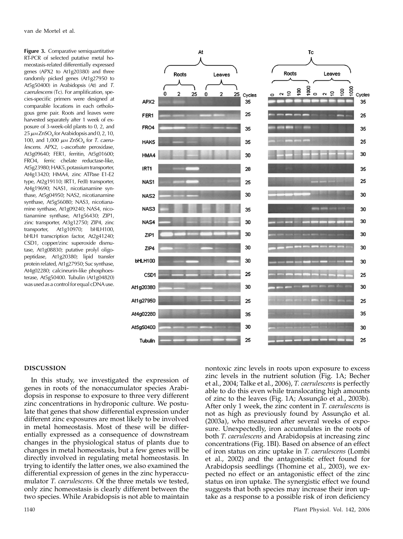Figure 3. Comparative semiquantitative RT-PCR of selected putative metal homeostasis-related differentially expressed genes (APX2 to At1g20380) and three randomly picked genes (At1g27950 to At5g50400) in Arabidopsis (At) and T. caerulescens (Tc). For amplification, species-specific primers were designed at comparable locations in each orthologous gene pair. Roots and leaves were harvested separately after 1 week of exposure of 3-week-old plants to 0, 2, and  $25 \mu$ M ZnSO<sub>4</sub> for Arabidopsis and 0, 2, 10, 100, and 1,000  $\mu$ <sub>M</sub> ZnSO<sub>4</sub> for T. caerulescens. APX2, L-ascorbate peroxidase, At3g09640; FER1, ferritin, At5g01600; FRO4, ferric chelate reductase-like, At5g23980; HAK5, potassium transporter, At4g13420; HMA4, zinc ATPase E1-E2 type, At2g19110; IRT1, Fe(II) transporter, At4g19690; NAS1, nicotianamine synthase, At5g04950; NAS2, nicotianamine synthase, At5g56080; NAS3, nicotianamine synthase, At1g09240; NAS4, nicotianamine synthase, At1g56430; ZIP1, zinc transporter, At3g12750; ZIP4, zinc transporter, At1g10970; bHLH100, bHLH transcription factor, At2g41240; CSD1, copper/zinc superoxide dismutase, At1g08830; putative prolyl oligopeptidase, At1g20380; lipid transfer protein related, At1g27950; Suc synthase, At4g02280; calcineurin-like phosphoesterase, At5g50400. Tubulin (At1g04820) was used as a control for equal cDNA use.



#### DISCUSSION

In this study, we investigated the expression of genes in roots of the nonaccumulator species Arabidopsis in response to exposure to three very different zinc concentrations in hydroponic culture. We postulate that genes that show differential expression under different zinc exposures are most likely to be involved in metal homeostasis. Most of these will be differentially expressed as a consequence of downstream changes in the physiological status of plants due to changes in metal homeostasis, but a few genes will be directly involved in regulating metal homeostasis. In trying to identify the latter ones, we also examined the differential expression of genes in the zinc hyperaccumulator *T. caerulescens*. Of the three metals we tested, only zinc homeostasis is clearly different between the two species. While Arabidopsis is not able to maintain nontoxic zinc levels in roots upon exposure to excess zinc levels in the nutrient solution (Fig. 1A; Becher et al., 2004; Talke et al., 2006), T. caerulescens is perfectly able to do this even while translocating high amounts of zinc to the leaves (Fig. 1A; Assunção et al., 2003b). After only 1 week, the zinc content in T. *caerulescens* is not as high as previously found by Assunção et al. (2003a), who measured after several weeks of exposure. Unexpectedly, iron accumulates in the roots of both T. caerulescens and Arabidopsis at increasing zinc concentrations (Fig. 1BI). Based on absence of an effect of iron status on zinc uptake in T. caerulescens (Lombi et al., 2002) and the antagonistic effect found for Arabidopsis seedlings (Thomine et al., 2003), we expected no effect or an antagonistic effect of the zinc status on iron uptake. The synergistic effect we found suggests that both species may increase their iron uptake as a response to a possible risk of iron deficiency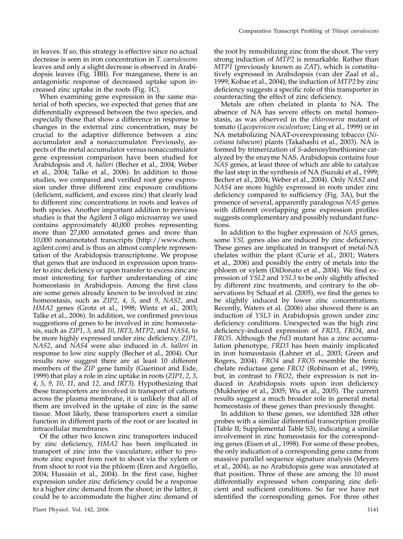in leaves. If so, this strategy is effective since no actual decrease is seen in iron concentration in T. caerulescens leaves and only a slight decrease is observed in Arabidopsis leaves (Fig. 1BII). For manganese, there is an antagonistic response of decreased uptake upon increased zinc uptake in the roots (Fig. 1C).

When examining gene expression in the same material of both species, we expected that genes that are differentially expressed between the two species, and especially those that show a difference in response to changes in the external zinc concentration, may be crucial to the adaptive difference between a zinc accumulator and a nonaccumulator. Previously, aspects of the metal accumulator versus nonaccumulator gene expression comparison have been studied for Arabidopsis and A. halleri (Becher et al., 2004; Weber et al., 2004; Talke et al., 2006). In addition to those studies, we compared and verified root gene expression under three different zinc exposure conditions (deficient, sufficient, and excess zinc) that clearly lead to different zinc concentrations in roots and leaves of both species. Another important addition to previous studies is that the Agilent 3 oligo microarray we used contains approximately 40,000 probes representing more than 27,000 annotated genes and more than 10,000 nonannotated transcripts (http://www.chem. agilent.com) and is thus an almost complete representation of the Arabidopsis transcriptome. We propose that genes that are induced in expression upon transfer to zinc deficiency or upon transfer to excess zinc are most interesting for further understanding of zinc homeostasis in Arabidopsis. Among the first class are some genes already known to be involved in zinc homeostasis, such as ZIP2, 4, 5, and 9, NAS2, and HMA2 genes (Grotz et al., 1998; Wintz et al., 2003; Talke et al., 2006). In addition, we confirmed previous suggestions of genes to be involved in zinc homeostasis, such as ZIP1, 3, and 10, IRT3, MTP2, and NAS4, to be more highly expressed under zinc deficiency. ZIP1, NAS2, and NAS4 were also induced in A. halleri in response to low zinc supply (Becher et al., 2004). Our results now suggest there are at least 10 different members of the ZIP gene family (Guerinot and Eide, 1999) that play a role in zinc uptake in roots (ZIP1, 2, 3, 4, 5, 9, 10, 11, and 12, and IRT3). Hypothesizing that these transporters are involved in transport of cations across the plasma membrane, it is unlikely that all of them are involved in the uptake of zinc in the same tissue. Most likely, these transporters exert a similar function in different parts of the root or are located in intracellular membranes.

Of the other two known zinc transporters induced by zinc deficiency, HMA2 has been implicated in transport of zinc into the vasculature, either to promote zinc export from root to shoot via the xylem or from shoot to root via the phloem (Eren and Argüello, 2004; Hussain et al., 2004). In the first case, higher expression under zinc deficiency could be a response to a higher zinc demand from the shoot; in the latter, it could be to accommodate the higher zinc demand of

the root by remobilizing zinc from the shoot. The very strong induction of MTP2 is remarkable. Rather than MTP1 (previously known as ZAT), which is constitutively expressed in Arabidopsis (van der Zaal et al., 1999; Kobae et al., 2004), the induction of MTP2 by zinc deficiency suggests a specific role of this transporter in counteracting the effect of zinc deficiency.

Metals are often chelated in planta to NA. The absence of NA has severe effects on metal homeostasis, as was observed in the *chloronerva* mutant of tomato (Lycopersicon esculentum; Ling et al., 1999) or in NA metabolizing NAAT-overexpressing tobacco (Nicotiana tabacum) plants (Takahashi et al., 2003). NA is formed by trimerization of S-adenosylmethionine catalyzed by the enzyme NAS. Arabidopsis contains four NAS genes, at least three of which are able to catalyze the last step in the synthesis of NA (Suzuki et al., 1999; Becher et al., 2004; Weber et al., 2004). Only NAS2 and NAS4 are more highly expressed in roots under zinc deficiency compared to sufficiency (Fig. 3A), but the presence of several, apparently paralogous NAS genes with different overlapping gene expression profiles suggests complementary and possibly redundant functions.

In addition to the higher expression of NAS genes, some YSL genes also are induced by zinc deficiency. These genes are implicated in transport of metal-NA chelates within the plant (Curie et al., 2001; Waters et al., 2006) and possibly the entry of metals into the phloem or xylem (DiDonato et al., 2004). We find expression of YSL2 and YSL3 to be only slightly affected by different zinc treatments, and contrary to the observations by Schaaf et al. (2005), we find the genes to be slightly induced by lower zinc concentrations. Recently, Waters et al. (2006) also showed there is an induction of YSL3 in Arabidopsis grown under zinc deficiency conditions. Unexpected was the high zinc deficiency-induced expression of FRD3, FRO4, and FRO5. Although the *frd3* mutant has a zinc accumulation phenotype, FRD3 has been mainly implicated in iron homeostasis (Lahner et al., 2003; Green and Rogers, 2004). FRO4 and FRO5 resemble the ferric chelate reductase gene FRO2 (Robinson et al., 1999), but, in contrast to FRO2, their expression is not induced in Arabidopsis roots upon iron deficiency (Mukherjee et al., 2005; Wu et al., 2005). The current results suggest a much broader role in general metal homeostasis of these genes than previously thought.

In addition to these genes, we identified 328 other probes with a similar differential transcription profile (Table II; Supplemental Table S3), indicating a similar involvement in zinc homeostasis for the corresponding genes (Eisen et al., 1998). For some of these probes, the only indication of a corresponding gene came from massive parallel sequence signature analysis (Meyers et al., 2004), as no Arabidopsis gene was annotated at that position. Three of these are among the 10 most differentially expressed when comparing zinc deficient and sufficient conditions. So far we have not identified the corresponding genes. For three other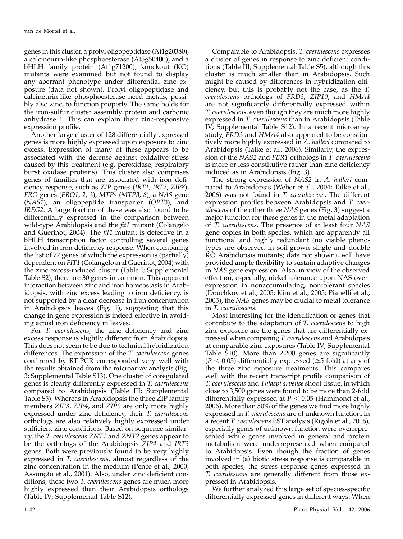genes in this cluster, a prolyl oligopeptidase (At1g20380), a calcineurin-like phosphoesterase (At5g50400), and a bHLH family protein (At1g71200), knockout (KO) mutants were examined but not found to display any aberrant phenotype under differential zinc exposure (data not shown). Prolyl oligopeptidase and calcineurin-like phosphoesterase need metals, possibly also zinc, to function properly. The same holds for the iron-sulfur cluster assembly protein and carbonic anhydrase 1. This can explain their zinc-responsive expression profile.

Another large cluster of 128 differentially expressed genes is more highly expressed upon exposure to zinc excess. Expression of many of these appears to be associated with the defense against oxidative stress caused by this treatment (e.g. peroxidase, respiratory burst oxidase proteins). This cluster also comprises genes of families that are associated with iron deficiency response, such as ZIP genes (IRT1, IRT2, ZIP8), FRO genes (FRO1, 2, 3), MTPs (MTP3, 8), a NAS gene (NAS1), an oligopeptide transporter (OPT3), and IREG2. A large fraction of these was also found to be differentially expressed in the comparison between wild-type Arabidopsis and the fit1 mutant (Colangelo and Guerinot, 2004). The *fit1* mutant is defective in a bHLH transcription factor controlling several genes involved in iron deficiency response. When comparing the list of 72 genes of which the expression is (partially) dependent on FIT1 (Colangelo and Guerinot, 2004) with the zinc excess-induced cluster (Table I; Supplemental Table S2), there are 30 genes in common. This apparent interaction between zinc and iron homeostasis in Arabidopsis, with zinc excess leading to iron deficiency, is not supported by a clear decrease in iron concentration in Arabidopsis leaves (Fig. 1), suggesting that this change in gene expression is indeed effective in avoiding actual iron deficiency in leaves.

For T. caerulescens, the zinc deficiency and zinc excess response is slightly different from Arabidopsis. This does not seem to be due to technical hybridization differences. The expression of the T. caerulescens genes confirmed by RT-PCR corresponded very well with the results obtained from the microarray analysis (Fig. 3; Supplemental Table S13). One cluster of coregulated genes is clearly differently expressed in T. caerulescens compared to Arabidopsis (Table III; Supplemental Table S5). Whereas in Arabidopsis the three ZIP family members ZIP3, ZIP4, and ZIP9 are only more highly expressed under zinc deficiency, their T. caerulescens orthologs are also relatively highly expressed under sufficient zinc conditions. Based on sequence similarity, the T. caerulescens ZNT1 and ZNT2 genes appear to be the orthologs of the Arabidopsis ZIP4 and IRT3 genes. Both were previously found to be very highly expressed in T. caerulescens, almost regardless of the zinc concentration in the medium (Pence et al., 2000; Assunção et al., 2001). Also, under zinc deficient conditions, these two T. caerulescens genes are much more highly expressed than their Arabidopsis orthologs (Table IV; Supplemental Table S12).

Comparable to Arabidopsis, T. caerulescens expresses a cluster of genes in response to zinc deficient conditions (Table III; Supplemental Table S5), although this cluster is much smaller than in Arabidopsis. Such might be caused by differences in hybridization efficiency, but this is probably not the case, as the T. caerulescens orthologs of FRD3, ZIP10, and HMA4 are not significantly differentially expressed within T. caerulescens, even though they are much more highly expressed in T. caerulescens than in Arabidopsis (Table IV; Supplemental Table S12). In a recent microarray study, FRD3 and HMA4 also appeared to be constitutively more highly expressed in A. halleri compared to Arabidopsis (Talke et al., 2006). Similarly, the expression of the NAS2 and FER1 orthologs in T. caerulescens is more or less constitutive rather than zinc deficiency induced as in Arabidopsis (Fig. 3).

The strong expression of NAS2 in A. halleri compared to Arabidopsis (Weber et al., 2004; Talke et al., 2006) was not found in T. caerulescens. The different expression profiles between Arabidopsis and T. caerulescens of the other three NAS genes (Fig. 3) suggest a major function for these genes in the metal adaptation of T. caerulescens. The presence of at least four NAS gene copies in both species, which are apparently all functional and highly redundant (no visible phenotypes are observed in soil-grown single and double KO Arabidopsis mutants; data not shown), will have provided ample flexibility to sustain adaptive changes in NAS gene expression. Also, in view of the observed effect on, especially, nickel tolerance upon NAS overexpression in nonaccumulating, nontolerant species (Douchkov et al., 2005; Kim et al., 2005; Pianelli et al., 2005), the NAS genes may be crucial to metal tolerance in T. caerulescens.

Most interesting for the identification of genes that contribute to the adaptation of T. caerulescens to high zinc exposure are the genes that are differentially expressed when comparing T. caerulescens and Arabidopsis at comparable zinc exposures (Table IV; Supplemental Table S10). More than 2,200 genes are significantly  $(P < 0.05)$  differentially expressed ( $\geq$ 5-fold) at any of the three zinc exposure treatments. This compares well with the recent transcript profile comparison of T. caerulescens and Thlaspi arvense shoot tissue, in which close to 3,500 genes were found to be more than 2-fold differentially expressed at  $P < 0.05$  (Hammond et al., 2006). More than 50% of the genes we find more highly expressed in T. caerulescens are of unknown function. In a recent T. caerulescens EST analysis (Rigola et al., 2006), especially genes of unknown function were overrepresented while genes involved in general and protein metabolism were underrepresented when compared to Arabidopsis. Even though the fraction of genes involved in (a) biotic stress response is comparable in both species, the stress response genes expressed in T. caerulescens are generally different from those expressed in Arabidopsis.

We further analyzed this large set of species-specific differentially expressed genes in different ways. When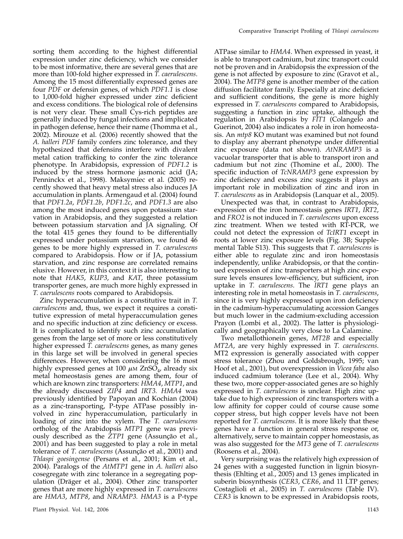sorting them according to the highest differential expression under zinc deficiency, which we consider to be most informative, there are several genes that are more than 100-fold higher expressed in T. caerulescens. Among the 15 most differentially expressed genes are four PDF or defensin genes, of which PDF1.1 is close to 1,000-fold higher expressed under zinc deficient and excess conditions. The biological role of defensins is not very clear. These small Cys-rich peptides are generally induced by fungal infections and implicated in pathogen defense, hence their name (Thomma et al., 2002). Mirouze et al. (2006) recently showed that the A. halleri PDF family confers zinc tolerance, and they hypothesized that defensins interfere with divalent metal cation trafficking to confer the zinc tolerance phenotype. In Arabidopsis, expression of PDF1.2 is induced by the stress hormone jasmonic acid (JA; Penninckx et al., 1998). Maksymiec et al. (2005) recently showed that heavy metal stress also induces JA accumulation in plants. Armengaud et al. (2004) found that PDF1.2a, PDF1.2b, PDF1.2c, and PDF1.3 are also among the most induced genes upon potassium starvation in Arabidopsis, and they suggested a relation between potassium starvation and JA signaling. Of the total 415 genes they found to be differentially expressed under potassium starvation, we found 46 genes to be more highly expressed in T. caerulescens compared to Arabidopsis. How or if JA, potassium starvation, and zinc response are correlated remains elusive. However, in this context it is also interesting to note that HAK5, KUP3, and KAT, three potassium transporter genes, are much more highly expressed in T. caerulescens roots compared to Arabidopsis.

Zinc hyperaccumulation is a constitutive trait in T. caerulescens and, thus, we expect it requires a constitutive expression of metal hyperaccumulation genes and no specific induction at zinc deficiency or excess. It is complicated to identify such zinc accumulation genes from the large set of more or less constitutively higher expressed T. caerulescens genes, as many genes in this large set will be involved in general species differences. However, when considering the 16 most highly expressed genes at 100  $\mu$ m ZnSO<sub>4</sub>, already six metal homeostasis genes are among them, four of which are known zinc transporters: HMA4, MTP1, and the already discussed ZIP4 and IRT3. HMA4 was previously identified by Papoyan and Kochian (2004) as a zinc-transporting, P-type ATPase possibly involved in zinc hyperaccumulation, particularly in loading of zinc into the xylem. The T. caerulescens ortholog of the Arabidopsis MTP1 gene was previously described as the ZTP1 gene (Assunção et al., 2001) and has been suggested to play a role in metal tolerance of T. caerulescens (Assunção et al., 2001) and Thlaspi goesingense (Persans et al., 2001; Kim et al., 2004). Paralogs of the AtMTP1 gene in A. halleri also cosegregate with zinc tolerance in a segregating population (Dräger et al., 2004). Other zinc transporter genes that are more highly expressed in T. caerulescens are HMA3, MTP8, and NRAMP3. HMA3 is a P-type

ATPase similar to HMA4. When expressed in yeast, it is able to transport cadmium, but zinc transport could not be proven and in Arabidopsis the expression of the gene is not affected by exposure to zinc (Gravot et al., 2004). The MTP8 gene is another member of the cation diffusion facilitator family. Especially at zinc deficient and sufficient conditions, the gene is more highly expressed in T. caerulescens compared to Arabidopsis, suggesting a function in zinc uptake, although the regulation in Arabidopsis by FIT1 (Colangelo and Guerinot, 2004) also indicates a role in iron homeostasis. An mtp8 KO mutant was examined but not found to display any aberrant phenotype under differential zinc exposure (data not shown). AtNRAMP3 is a vacuolar transporter that is able to transport iron and cadmium but not zinc (Thomine et al., 2000). The specific induction of TcNRAMP3 gene expression by zinc deficiency and excess zinc suggests it plays an important role in mobilization of zinc and iron in T. caerulescens as in Arabidopsis (Lanquar et al., 2005).

Unexpected was that, in contrast to Arabidopsis, expression of the iron homeostasis genes IRT1, IRT2, and FRO2 is not induced in T. caerulescens upon excess zinc treatment. When we tested with RT-PCR, we could not detect the expression of TcIRT1 except in roots at lower zinc exposure levels (Fig. 3B; Supplemental Table S13). This suggests that T. caerulescens is either able to regulate zinc and iron homeostasis independently, unlike Arabidopsis, or that the continued expression of zinc transporters at high zinc exposure levels ensures low-efficiency, but sufficient, iron uptake in T. caerulescens. The IRT1 gene plays an interesting role in metal homeostasis in T. caerulescens, since it is very highly expressed upon iron deficiency in the cadmium-hyperaccumulating accession Ganges but much lower in the cadmium-excluding accession Prayon (Lombi et al., 2002). The latter is physiologically and geographically very close to La Calamine.

Two metallothionein genes, MT2B and especially MT2A, are very highly expressed in T. caerulescens. MT2 expression is generally associated with copper stress tolerance (Zhou and Goldsbrough, 1995; van Hoof et al., 2001), but overexpression in Vicea faba also induced cadmium tolerance (Lee et al., 2004). Why these two, more copper-associated genes are so highly expressed in T. caerulescens is unclear. High zinc uptake due to high expression of zinc transporters with a low affinity for copper could of course cause some copper stress, but high copper levels have not been reported for T. caerulescens. It is more likely that these genes have a function in general stress response or, alternatively, serve to maintain copper homeostasis, as was also suggested for the MT3 gene of T. caerulescens (Roosens et al., 2004).

Very surprising was the relatively high expression of 24 genes with a suggested function in lignin biosynthesis (Ehlting et al., 2005) and 13 genes implicated in suberin biosynthesis (CER3, CER6, and 11 LTP genes; Costaglioli et al., 2005) in T. caerulescens (Table IV). CER3 is known to be expressed in Arabidopsis roots,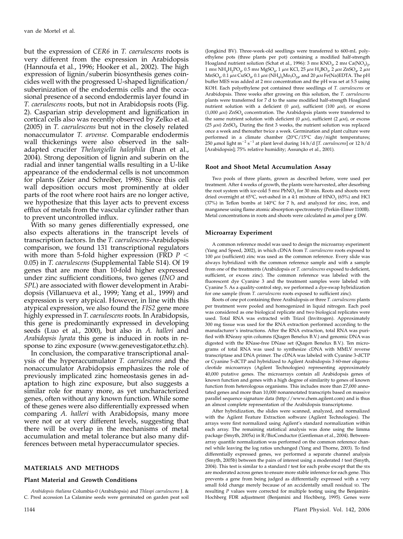but the expression of CER6 in T. caerulescens roots is very different from the expression in Arabidopsis (Hannoufa et al., 1996; Hooker et al., 2002). The high expression of lignin/suberin biosynthesis genes coincides well with the progressed U-shaped lignification/ suberinization of the endodermis cells and the occasional presence of a second endodermis layer found in T. caerulescens roots, but not in Arabidopsis roots (Fig. 2). Casparian strip development and lignification in cortical cells also was recently observed by Zelko et al. (2005) in T. caerulescens but not in the closely related nonaccumulator T. arvense. Comparable endodermis wall thickenings were also observed in the saltadapted crucifer Thelungiella halophila (Inan et al., 2004). Strong deposition of lignin and suberin on the radial and inner tangential walls resulting in a U-like appearance of the endodermal cells is not uncommon for plants (Zeier and Schreiber, 1998). Since this cell wall deposition occurs most prominently at older parts of the root where root hairs are no longer active, we hypothesize that this layer acts to prevent excess efflux of metals from the vascular cylinder rather than to prevent uncontrolled influx.

With so many genes differentially expressed, one also expects alterations in the transcript levels of transcription factors. In the T. caerulescens-Arabidopsis comparison, we found 131 transcriptional regulators with more than 5-fold higher expression (FRD  $P \leq$ 0.05) in T. caerulescens (Supplemental Table S14). Of 19 genes that are more than 10-fold higher expressed under zinc sufficient conditions, two genes (INO and SPL) are associated with flower development in Arabidopsis (Villanueva et al., 1999; Yang et al., 1999) and expression is very atypical. However, in line with this atypical expression, we also found the FIS2 gene more highly expressed in *T. caerulescens* roots. In Arabidopsis, this gene is predominantly expressed in developing seeds (Luo et al., 2000), but also in A. halleri and Arabidopsis lyrata this gene is induced in roots in response to zinc exposure (www.genevestigator.ethz.ch).

In conclusion, the comparative transcriptional analysis of the hyperaccumulator T. caerulescens and the nonaccumulator Arabidopsis emphasizes the role of previously implicated zinc homeostasis genes in adaptation to high zinc exposure, but also suggests a similar role for many more, as yet uncharacterized genes, often without any known function. While some of these genes were also differentially expressed when comparing A. halleri with Arabidopsis, many more were not or at very different levels, suggesting that there will be overlap in the mechanisms of metal accumulation and metal tolerance but also many differences between metal hyperaccumulator species.

#### MATERIALS AND METHODS

#### Plant Material and Growth Conditions

Arabidopsis thaliana Columbia-0 (Arabidopsis) and Thlaspi caerulescens J. & C. Presl accession La Calamine seeds were germinated on garden peat soil

(Jongkind BV). Three-week-old seedlings were transferred to 600-mL polyethylene pots (three plants per pot) containing a modified half-strength Hoagland nutrient solution (Schat et al., 1996): 3 mm KNO<sub>3</sub>, 2 mm Ca(NO<sub>3</sub>)<sub>2</sub>, 1 mm NH<sub>4</sub>H<sub>2</sub>PO<sub>4</sub>, 0.5 mm MgSO<sub>4</sub>, 1  $\mu$ m KCl, 25  $\mu$ m H<sub>3</sub>BO<sub>3</sub>, 2  $\mu$ m ZnSO<sub>4</sub>, 2  $\mu$ m MnSO<sub>4</sub>, 0.1  $\mu$ M CuSO<sub>4</sub>, 0.1  $\mu$ M (NH<sub>4)6</sub>Mo<sub>7</sub>O<sub>24</sub>, and 20  $\mu$ M Fe(Na)EDTA. The pH buffer MES was added at 2 mM concentration and the pH was set at 5.5 using KOH. Each polyethylene pot contained three seedlings of T. caerulescens or Arabidopsis. Three weeks after growing on this solution, the T. caerulescens plants were transferred for 7 d to the same modified half-strength Hoagland nutrient solution with a deficient (0  $\mu$ M), sufficient (100  $\mu$ M), or excess (1,000  $\mu$ M) ZnSO<sub>4</sub> concentration. The Arabidopsis plants were transferred to the same nutrient solution with deficient (0  $\mu$ M), sufficient (2  $\mu$ M), or excess (25  $\mu$ M) ZnSO<sub>4</sub>. During the first 3 weeks, the nutrient solution was replaced once a week and thereafter twice a week. Germination and plant culture were performed in a climate chamber (20°C/15°C day/night temperatures; 250  $\mu$ mol light m $^{-2}$  s $^{-1}$  at plant level during 14 h/d [T. *caerulescens*] or 12 h/d [Arabidopsis]; 75% relative humidity; Assunção et al., 2001).

#### Root and Shoot Metal Accumulation Assay

Two pools of three plants, grown as described before, were used per treatment. After 4 weeks of growth, the plants were harvested, after desorbing the root system with ice-cold  $5 \text{ mm}$  PbNO<sub>3</sub> for 30 min. Roots and shoots were dried overnight at  $65^{\circ}$ C, wet-ashed in a 4:1 mixture of  $HNO<sub>3</sub>$  (65%) and HCl (37%) in Teflon bombs at 140C for 7 h, and analyzed for zinc, iron, and manganese using flame atomic absorption spectrometry (Perkin-Elmer 1100B). Metal concentrations in roots and shoots were calculated as  $\mu$ mol per g DW.

#### Microarray Experiment

A common reference model was used to design the microarray experiment (Yang and Speed, 2002), in which cDNA from T. caerulescens roots exposed to  $100 \mu$ M (sufficient) zinc was used as the common reference. Every slide was always hybridized with the common reference sample and with a sample from one of the treatments (Arabidopsis or T. caerulescens exposed to deficient, sufficient, or excess zinc). The common reference was labeled with the fluorescent dye Cyanine 3 and the treatment samples were labeled with Cyanine 5. As a quality-control step, we performed a dye-swap hybridization for one sample (from T. caerulescens roots exposed to sufficient zinc).

Roots of one pot containing three Arabidopsis or three T. caerulescens plants per treatment were pooled and homogenized in liquid nitrogen. Each pool was considered as one biological replicate and two biological replicates were used. Total RNA was extracted with Trizol (Invitrogen). Approximately 300 mg tissue was used for the RNA extraction performed according to the manufacturer's instructions. After the RNA extraction, total RNA was purified with RNeasy spin columns (Qiagen Benelux B.V.) and genomic DNA was digested with the RNase-free DNase set (Qiagen Benelux B.V.). Ten micrograms of total RNA was used to synthesize cDNA with MMLV reverse transcriptase and DNA primer. The cDNA was labeled with Cyanine 3-dCTP or Cyanine 5-dCTP and hybridized to Agilent Arabidopsis 3 60-mer oligonucleotide microarrays (Agilent Technologies) representing approximately 40,000 putative genes. The microarrays contain all Arabidopsis genes of known function and genes with a high degree of similarity to genes of known function from heterologous organisms. This includes more than 27,000 annotated genes and more than 10,000 nonannotated transcripts based on massive parallel sequence signature data (http://www.chem.agilent.com) and is thus an almost complete representation of the Arabidopsis transcriptome.

After hybridization, the slides were scanned, analyzed, and normalized with the Agilent Feature Extraction software (Agilent Technologies). The arrays were first normalized using Agilent's standard normalization within each array. The remaining statistical analysis was done using the limma package (Smyth, 2005a) in R/BioConductor (Gentleman et al., 2004). Betweenarray quantile normalization was performed on the common reference channel while leaving the log ratios unchanged (Yang and Thorne, 2003). To find differentially expressed genes, we performed a separate channel analysis (Smyth, 2005b) between the pairs of interest using a moderated  $t$  test (Smyth, 2004). This test is similar to a standard  $t$  test for each probe except that the  $s$ Es are moderated across genes to ensure more stable inference for each gene. This prevents a gene from being judged as differentially expressed with a very small fold change merely because of an accidentally small residual sp. The resulting P values were corrected for multiple testing using the Benjamini-Hochberg FDR adjustment (Benjamini and Hochberg, 1995). Genes were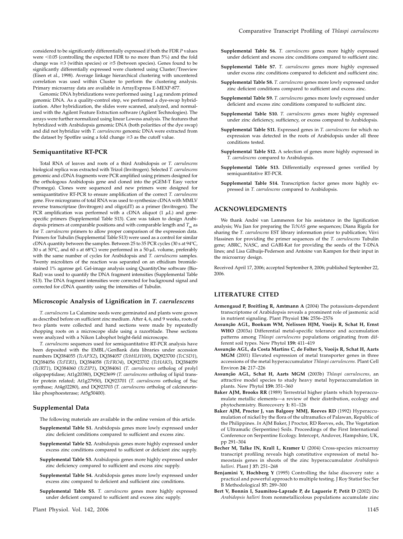considered to be significantly differentially expressed if both the FDR  $\boldsymbol{P}$  values were <0.05 (controlling the expected FDR to no more than 5%) and the fold change was  $\geq$ 3 (within species) or  $\geq$ 5 (between species). Genes found to be significantly differentially expressed were clustered using Cluster/Treeview (Eisen et al., 1998). Average linkage hierarchical clustering with uncentered correlation was used within Cluster to perform the clustering analysis. Primary microarray data are available in ArrayExpress E-MEXP-877.

Genomic DNA hybridizations were performed using 1  $\mu$ g random primed genomic DNA. As a quality-control step, we performed a dye-swap hybridization. After hybridization, the slides were scanned, analyzed, and normalized with the Agilent Feature Extraction software (Agilent Technologies). The arrays were further normalized using linear Lowess analysis. The features that hybridized with Arabidopsis genomic DNA (both polarities of the dye swap) and did not hybridize with T. caerulescens genomic DNA were extracted from the dataset by Spotfire using a fold change  $\geq$ 3 as the cutoff value.

#### Semiquantitative RT-PCR

Total RNA of leaves and roots of a third Arabidopsis or T. caerulescens biological replica was extracted with Trizol (Invitrogen). Selected T. caerulescens genomic and cDNA fragments were PCR amplified using primers designed for the orthologous Arabidopsis gene and cloned into the pGEM-T Easy vector (Promega). Clones were sequenced and new primers were designed for semiquantitative RT-PCR to ensure amplification of the correct T. caerulescens gene. Five micrograms of total RNA was used to synthesize cDNA with MMLV reverse transcriptase (Invitrogen) and oligo(dT) as a primer (Invitrogen). The PCR amplification was performed with a cDNA aliquot  $(1 \mu L)$  and genespecific primers (Supplemental Table S13). Care was taken to design Arabidopsis primers at comparable positions and with comparable length and  $T<sub>m</sub>$  as for T. caerulescens primers to allow proper comparison of the expression data. Primers for Tubulin (Supplemental Table S13) were used as a control for similar cDNA quantity between the samples. Between 25 to 35 PCR cycles (30 s at 94°C, 30 s at 50 $^{\circ}$ C, and 60 s at 68 $^{\circ}$ C) were performed in a 50- $\mu$ L volume, preferably with the same number of cycles for Arabidopsis and T. caerulescens samples. Twenty microliters of the reaction was separated on an ethidium bromidestained 1% agarose gel. Gel-image analysis using QuantityOne software (Bio-Rad) was used to quantify the DNA fragment intensities (Supplemental Table S13). The DNA fragment intensities were corrected for background signal and corrected for cDNA quantity using the intensities of Tubulin.

### Microscopic Analysis of Lignification in T. caerulescens

T. caerulescens La Calamine seeds were germinated and plants were grown as described before on sufficient zinc medium. After 4, 6, and 9 weeks, roots of two plants were collected and hand sections were made by repeatedly chopping roots on a microscope slide using a razorblade. These sections were analyzed with a Nikon Labophot bright-field microscope.

T. caerulescens sequences used for semiquantitative RT-PCR analysis have been deposited with the EMBL/GenBank data libraries under accession numbers DQ384055 (TcAPX2), DQ384057 (TcbHLH100), DQ923700 (TcCSD1), DQ384056 (TcFER1), DQ384058 (TcFRO4), DQ923702 (TcHAK5), DQ384059 (TcIRT1), DQ384060 (TcZIP1), DQ384061 (T. caerulescens ortholog of prolyl oligopeptidase; At1g20380), DQ923699 (T. caerulescens ortholog of lipid transfer protein related; At1g27950), DQ923701 (T. caerulescens ortholog of Suc synthase; At4g02280), and DQ923703 (T. caerulescens ortholog of calcineurinlike phosphoesterase; At5g50400).

# Supplemental Data

The following materials are available in the online version of this article.

- Supplemental Table S1. Arabidopsis genes more lowly expressed under zinc deficient conditions compared to sufficient and excess zinc.
- Supplemental Table S2. Arabidopsis genes more highly expressed under excess zinc conditions compared to sufficient or deficient zinc supply.
- Supplemental Table S3. Arabidopsis genes more highly expressed under zinc deficiency compared to sufficient and excess zinc supply.
- Supplemental Table S4. Arabidopsis genes more lowly expressed under excess zinc compared to deficient and sufficient zinc conditions.
- Supplemental Table S5. T. caerulescens genes more highly expressed under deficient compared to sufficient and excess zinc supply.
- Supplemental Table S6. T. caerulescens genes more highly expressed under deficient and excess zinc conditions compared to sufficient zinc.
- Supplemental Table S7. T. caerulescens genes more highly expressed under excess zinc conditions compared to deficient and sufficient zinc.
- Supplemental Table S8. T. caerulescens genes more lowly expressed under zinc deficient conditions compared to sufficient and excess zinc.
- Supplemental Table S9. T. caerulescens genes more lowly expressed under deficient and excess zinc conditions compared to sufficient zinc.
- Supplemental Table S10. T. caerulescens genes more highly expressed under zinc deficiency, sufficiency, or excess compared to Arabidopsis.
- Supplemental Table S11. Expressed genes in T. caerulescens for which no expression was detected in the roots of Arabidopsis under all three conditions tested.
- Supplemental Table S12. A selection of genes more highly expressed in T. caerulescens compared to Arabidopsis.
- Supplemental Table S13. Differentially expressed genes verified by semiquantitative RT-PCR.
- Supplemental Table S14. Transcription factor genes more highly expressed in T. caerulescens compared to Arabidopsis.

### ACKNOWLEDGMENTS

We thank André van Lammeren for his assistance in the lignification analysis; Wu Jian for preparing the TcNAS gene sequences; Diana Rigola for sharing the T. caerulescens EST library information prior to publication; Viivi Hassinen for providing the primer sequences of the T. caerulescens Tubulin gene; ABRC, NASC, and GABI-Kat for providing the seeds of the T-DNA lines; and Lisa Gilhuijs-Pederson and Antoine van Kampen for their input in the microarray design.

Received April 17, 2006; accepted September 8, 2006; published September 22, 2006.

# LITERATURE CITED

- Armengaud P, Breitling R, Amtmann A (2004) The potassium-dependent transcriptome of Arabidopsis reveals a prominent role of jasmonic acid in nutrient signaling. Plant Physiol 136: 2556–2576
- Assunção AGL, Bookum WM, Nelissen HJM, Vooijs R, Schat H, Ernst WHO (2003a) Differential metal-specific tolerance and accumulation patterns among Thlaspi caerulescens populations originating from different soil types. New Phytol 159: 411–419
- Assunção AGL, da Costa Martins C, de Folter S, Vooijs R, Schat H, Aarts MGM (2001) Elevated expression of metal transporter genes in three accessions of the metal hyperaccumulator Thlaspi caerulescens. Plant Cell Environ 24: 217–226
- Assunção AGL, Schat H, Aarts MGM (2003b) Thlaspi caerulescens, an attractive model species to study heavy metal hyperaccumulation in plants. New Phytol 159: 351–360
- Baker AJM, Brooks RR (1989) Terrestrial higher plants which hyperaccumulate metallic elements—a review of their distribution, ecology and phytochemistry. Biorecovery 1: 81–126
- Baker AJM, Proctor J, van Balgooy MMJ, Reeves RD (1992) Hyperaccumulation of nickel by the flora of the ultramafics of Palawan, Republic of the Philippines. In AJM Baker, J Proctor, RD Reeves, eds, The Vegetation of Ultramafic (Serpentine) Soils. Proceedings of the First International Conference on Serpentine Ecology. Intercept, Andover, Hampshire, UK, pp 291–304
- Becher M, Talke IN, Krall L, Kramer U (2004) Cross-species microarray transcript profiling reveals high constitutive expression of metal homeostasis genes in shoots of the zinc hyperaccumulator Arabidopsis halleri. Plant J 37: 251–268
- Benjamini Y, Hochberg Y (1995) Controlling the false discovery rate: a practical and powerful approach to multiple testing. J Roy Statist Soc Ser B Methodological 57: 289–300
- Bert V, Bonnin I, Saumitou-Laprade P, de Laguerie P, Petit D (2002) Do Arabidopsis halleri from nonmetallicolous populations accumulate zinc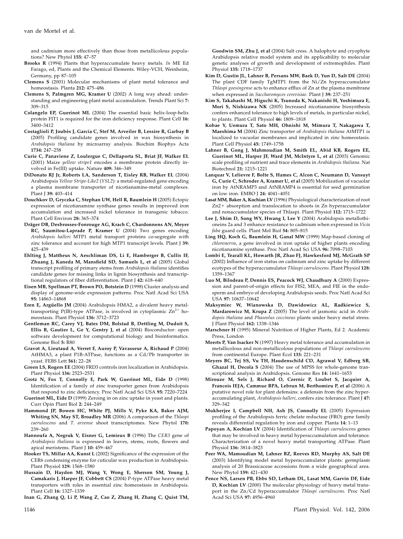and cadmium more effectively than those from metallicolous populations? New Phytol 155: 47–57

- Brooks R (1994) Plants that hyperaccumulate heavy metals. In ME Ed Farago, ed, Plants and the Chemical Elements. Wiley-VCH, Weinheim, Germany, pp 87–105
- Clemens S (2001) Molecular mechanisms of plant metal tolerance and homeostasis. Planta 212: 475–486
- Clemens S, Palmgren MG, Kramer U (2002) A long way ahead: understanding and engineering plant metal accumulation. Trends Plant Sci 7: 309–315
- Colangelo EP, Guerinot ML (2004) The essential basic helix-loop-helix protein FIT1 is required for the iron deficiency response. Plant Cell 16: 3400–3412
- Costaglioli P, Joubès J, Garcia C, Stef M, Arveiler B, Lessire R, Garbay B (2005) Profiling candidate genes involved in wax biosynthesis in Arabidopsis thaliana by microarray analysis. Biochim Biophys Acta 1734: 247–258
- Curie C, Panaviene Z, Loulergue C, Dellaporta SL, Briat JF, Walker EL (2001) Maize yellow stripe1 encodes a membrane protein directly involved in Fe(III) uptake. Nature 409: 346–349
- DiDonato RJ Jr, Roberts LA, Sanderson T, Eisley RB, Walker EL (2004) Arabidopsis Yellow Stripe-Like2 (YSL2): a metal-regulated gene encoding a plasma membrane transporter of nicotianamine-metal complexes. Plant J 39: 403–414
- Douchkov D, Gryczka C, Stephan UW, Hell R, Baumlein H (2005) Ectopic expression of nicotianamine synthase genes results in improved iron accumulation and increased nickel tolerance in transgenic tobacco. Plant Cell Environ 28: 365–374
- Dräger DB, Desbrosses-Fonrouge AG, Krach C, Chardonnens AN, Meyer RC, Saumitou-Laprade P, Kramer U (2004) Two genes encoding Arabidopsis halleri MTP1 metal transport proteins co-segregate with zinc tolerance and account for high MTP1 transcript levels. Plant J 39: 425–439
- Ehlting J, Mattheus N, Aeschliman DS, Li E, Hamberger B, Cullis IF, Zhuang J, Kaneda M, Mansfield SD, Samuels L, et al (2005) Global transcript profiling of primary stems from Arabidopsis thaliana identifies candidate genes for missing links in lignin biosynthesis and transcriptional regulators of fiber differentiation. Plant J 42: 618–640
- Eisen MB, Spellman PT, Brown PO, Botstein D (1998) Cluster analysis and display of genome-wide expression patterns. Proc Natl Acad Sci USA 95: 14863–14868
- Eren E, Argüello JM (2004) Arabidopsis HMA2, a divalent heavy metaltransporting P(IB)-type ATPase, is involved in cytoplasmic  $Zn^{2+}$  homeostasis. Plant Physiol 136: 3712–3723
- Gentleman RC, Carey VJ, Bates DM, Bolstad B, Dettling M, Dudoit S, Ellis B, Gautier L, Ge Y, Gentry J, et al (2004) Bioconductor: open software development for computational biology and bioinformatics. Genome Biol 5: R80
- Gravot A, Lieutaud A, Verret F, Auroy P, Vavasseur A, Richaud P (2004) AtHMA3, a plant P1B-ATPase, functions as a Cd/Pb transporter in yeast. FEBS Lett 561: 22–28
- Green LS, Rogers EE (2004) FRD3 controls iron localization in Arabidopsis. Plant Physiol 136: 2523–2531
- Grotz N, Fox T, Connolly E, Park W, Guerinot ML, Eide D (1998) Identification of a family of zinc transporter genes from Arabidopsis that respond to zinc deficiency. Proc Natl Acad Sci USA 95: 7220–7224
- Guerinot ML, Eide D (1999) Zeroing in on zinc uptake in yeast and plants. Curr Opin Plant Biol 2: 244–249
- Hammond JP, Bowen HC, White PJ, Mills V, Pyke KA, Baker AJM, Whiting SN, May ST, Broadley MR (2006) A comparison of the Thlaspi caerulescens and T. arvense shoot transcriptomes. New Phytol 170: 239–260
- Hannoufa A, Negruk V, Eisner G, Lemieux B (1996) The CER3 gene of Arabidopsis thaliana is expressed in leaves, stems, roots, flowers and apical meristems. Plant J 10: 459-467
- Hooker TS, Millar AA, Kunst L (2002) Significance of the expression of the CER6 condensing enzyme for cuticular wax production in Arabidopsis. Plant Physiol 129: 1568–1580
- Hussain D, Haydon MJ, Wang Y, Wong E, Sherson SM, Young J, Camakaris J, Harper JF, Cobbett CS (2004) P-type ATPase heavy metal transporters with roles in essential zinc homeostasis in Arabidopsis. Plant Cell 16: 1327–1339
- Inan G, Zhang Q, Li P, Wang Z, Cao Z, Zhang H, Zhang C, Quist TM,

Goodwin SM, Zhu J, et al (2004) Salt cress. A halophyte and cryophyte Arabidopsis relative model system and its applicability to molecular genetic analyses of growth and development of extremophiles. Plant Physiol 135: 1718–1737

- Kim D, Gustin JL, Lahner B, Persans MW, Baek D, Yun D, Salt DE (2004) The plant CDF family TgMTP1 from the Ni/Zn hyperaccumulator Thlaspi goesingense acts to enhance efflux of Zn at the plasma membrane when expressed in Saccharomyces cerevisiae. Plant J 39: 237-251
- Kim S, Takahashi M, Higuchi K, Tsunoda K, Nakanishi H, Yoshimura E, Mori S, Nishizawa NK (2005) Increased nicotianamine biosynthesis confers enhanced tolerance to high levels of metals, in particular nickel, to plants. Plant Cell Physiol 46: 1809–1818
- Kobae Y, Uemura T, Sato MH, Ohnishi M, Mimura T, Nakagawa T, Maeshima M (2004) Zinc transporter of Arabidopsis thaliana AtMTP1 is localized to vacuolar membranes and implicated in zinc homeostasis. Plant Cell Physiol 45: 1749–1758
- Lahner B, Gong J, Mahmoudian M, Smith EL, Abid KB, Rogers EE, Guerinot ML, Harper JF, Ward JM, McIntyre L, et al (2003) Genomic scale profiling of nutrient and trace elements in Arabidopsis thaliana. Nat Biotechnol 21: 1215–1221
- Lanquar V, Lelievre F, Bolte S, Hames C, Alcon C, Neumann D, Vansuyt G, Curie C, Schroder A, Kramer U, et al (2005) Mobilization of vacuolar iron by AtNRAMP3 and AtNRAMP4 is essential for seed germination on low iron. EMBO J 24: 4041–4051
- Lasat MM, Baker A, Kochian LV (1996) Physiological characterization of root Zn2+ absorption and translocation to shoots in Zn hyperaccumulator and nonaccumulator species of Thlaspi. Plant Physiol 112: 1715–1722
- Lee J, Shim D, Song WY, Hwang I, Lee Y (2004) Arabidopsis metallothioneins 2a and 3 enhance resistance to cadmium when expressed in Vicia faba guard cells. Plant Mol Biol 54: 805-815
- Ling HQ, Koch G, Baumlein H, Ganal MW (1999) Map-based cloning of chloronerva, a gene involved in iron uptake of higher plants encoding nicotianamine synthase. Proc Natl Acad Sci USA 96: 7098–7103
- Lombi E, Tearall KL, Howarth JR, Zhao FJ, Hawkesford MJ, McGrath SP (2002) Influence of iron status on cadmium and zinc uptake by different ecotypes of the hyperaccumulator Thlaspi caerulescens. Plant Physiol 128: 1359–1367
- Luo M, Bilodeau P, Dennis ES, Peacock WJ, Chaudhury A (2000) Expression and parent-of-origin effects for FIS2, MEA, and FIE in the endosperm and embryo of developing Arabidopsis seeds. Proc Natl Acad Sci USA 97: 10637–10642
- Maksymiec W, Wianowska D, Dawidowicz AL, Radkiewicz S, Mardarowicz M, Krupa Z (2005) The level of jasmonic acid in Arabidopsis thaliana and Phaseolus coccineus plants under heavy metal stress. J Plant Physiol 162: 1338–1346
- Marschner H (1995) Mineral Nutrition of Higher Plants, Ed 2. Academic Press, London
- Meerts P, Van Isacker N (1997) Heavy metal tolerance and accumulation in metallicolous and non-metallicolous populations of Thlaspi caerulescens from continental Europe. Plant Ecol 133: 221–231
- Meyers BC, Tej SS, Vu TH, Haudenschild CD, Agrawal V, Edberg SB, Ghazal H, Decola S (2004) The use of MPSS for whole-genome transcriptional analysis in Arabidopsis. Genome Res 14: 1641–1653
- Mirouze M, Sels J, Richard O, Czernic P, Loubet S, Jacquier A, Francois IEJA, Cammue BPA, Lebrun M, Berthomieu P, et al (2006) A putative novel role for plant defensins: a defensin from the zinc hyperaccumulating plant, Arabidopsis halleri, confers zinc tolerance. Plant J 47: 329–342
- Mukherjee I, Campbell NH, Ash JS, Connolly EL (2005) Expression profiling of the Arabidopsis ferric chelate reductase (FRO) gene family reveals differential regulation by iron and copper. Planta 14: 1–13
- Papoyan A, Kochian LV (2004) Identification of Thlaspi caerulescens genes that may be involved in heavy metal hyperaccumulation and tolerance. Characterization of a novel heavy metal transporting ATPase. Plant Physiol 136: 3814–3823
- Peer WA, Mamoudian M, Lahner BZ, Reeves RD, Murphy AS, Salt DE (2003) Identifying model metal hyperaccumulator plants: germplasm analysis of 20 Brassicaceae accessions from a wide geographical area. New Phytol 159: 421–430
- Pence NS, Larsen PB, Ebbs SD, Letham DL, Lasat MM, Garvin DF, Eide D, Kochian LV (2000) The molecular physiology of heavy metal transport in the Zn/Cd hyperaccumulator Thlaspi caerulescens. Proc Natl Acad Sci USA 97: 4956–4960